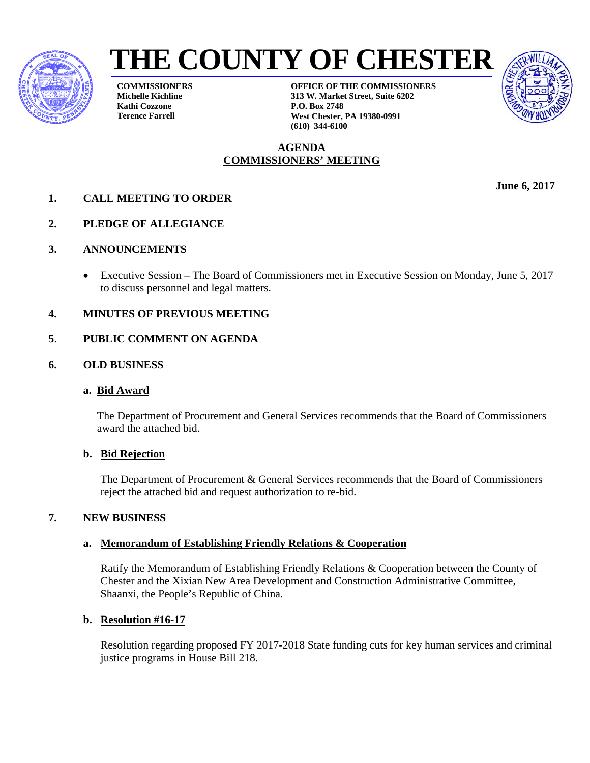



**COMMISSIONERS Michelle Kichline Kathi Cozzone Terence Farrell**

**OFFICE OF THE COMMISSIONERS 313 W. Market Street, Suite 6202 P.O. Box 2748 West Chester, PA 19380-0991 (610) 344-6100**

# **AGENDA COMMISSIONERS' MEETING**

- **1. CALL MEETING TO ORDER**
- **2. PLEDGE OF ALLEGIANCE**
- **3. ANNOUNCEMENTS**
	- Executive Session The Board of Commissioners met in Executive Session on Monday, June 5, 2017 to discuss personnel and legal matters.
- **4. MINUTES OF PREVIOUS MEETING**

# **5**. **PUBLIC COMMENT ON AGENDA**

**6. OLD BUSINESS**

# **a. Bid Award**

The Department of Procurement and General Services recommends that the Board of Commissioners award the attached bid.

# **b. Bid Rejection**

The Department of Procurement & General Services recommends that the Board of Commissioners reject the attached bid and request authorization to re-bid.

# **7. NEW BUSINESS**

# **a. Memorandum of Establishing Friendly Relations & Cooperation**

Ratify the Memorandum of Establishing Friendly Relations & Cooperation between the County of Chester and the Xixian New Area Development and Construction Administrative Committee, Shaanxi, the People's Republic of China.

# **b. Resolution #16-17**

Resolution regarding proposed FY 2017-2018 State funding cuts for key human services and criminal justice programs in House Bill 218.

**June 6, 2017**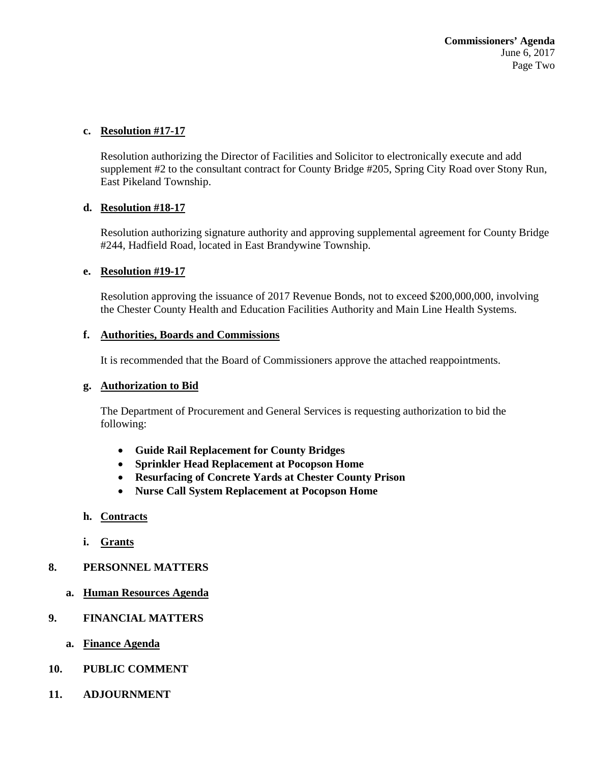### **c. Resolution #17-17**

Resolution authorizing the Director of Facilities and Solicitor to electronically execute and add supplement #2 to the consultant contract for County Bridge #205, Spring City Road over Stony Run, East Pikeland Township.

#### **d. Resolution #18-17**

Resolution authorizing signature authority and approving supplemental agreement for County Bridge #244, Hadfield Road, located in East Brandywine Township.

#### **e. Resolution #19-17**

Resolution approving the issuance of 2017 Revenue Bonds, not to exceed \$200,000,000, involving the Chester County Health and Education Facilities Authority and Main Line Health Systems.

#### **f. Authorities, Boards and Commissions**

It is recommended that the Board of Commissioners approve the attached reappointments.

### **g. Authorization to Bid**

The Department of Procurement and General Services is requesting authorization to bid the following:

- **Guide Rail Replacement for County Bridges**
- **Sprinkler Head Replacement at Pocopson Home**
- **Resurfacing of Concrete Yards at Chester County Prison**
- **Nurse Call System Replacement at Pocopson Home**

# **h. Contracts**

**i. Grants**

# **8. PERSONNEL MATTERS**

- **a. Human Resources Agenda**
- **9. FINANCIAL MATTERS**
	- **a. Finance Agenda**
- **10. PUBLIC COMMENT**
- **11. ADJOURNMENT**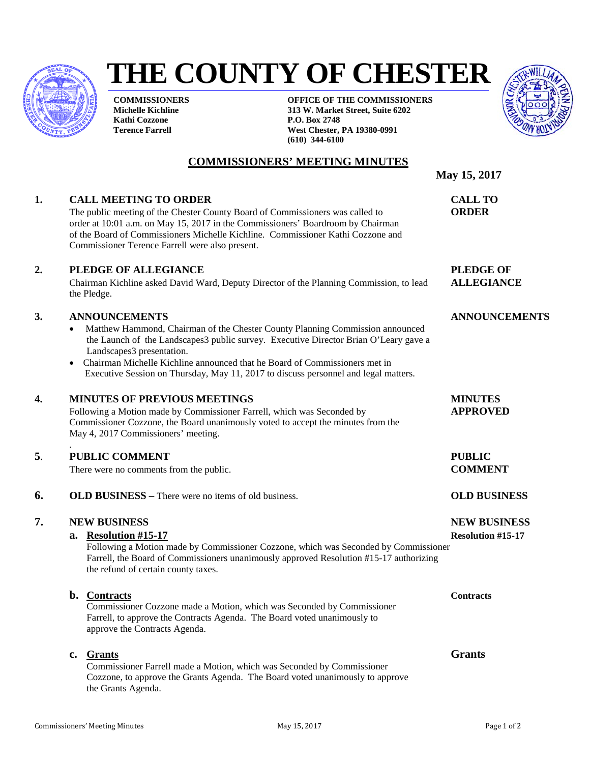

# **THE COUNTY OF CHESTER**

**COMMISSIONERS Michelle Kichline Kathi Cozzone Terence Farrell**

**OFFICE OF THE COMMISSIONERS 313 W. Market Street, Suite 6202 P.O. Box 2748 West Chester, PA 19380-0991 (610) 344-6100**



# **COMMISSIONERS' MEETING MINUTES**

**May 15, 2017** 

**1. CALL MEETING TO ORDER CALL TO**

The public meeting of the Chester County Board of Commissioners was called to **ORDER** order at 10:01 a.m. on May 15, 2017 in the Commissioners' Boardroom by Chairman of the Board of Commissioners Michelle Kichline. Commissioner Kathi Cozzone and Commissioner Terence Farrell were also present.

# **2. PLEDGE OF ALLEGIANCE PLEDGE OF**

Chairman Kichline asked David Ward, Deputy Director of the Planning Commission, to lead **ALLEGIANCE** the Pledge.

#### **3. ANNOUNCEMENTS ANNOUNCEMENTS**

- Matthew Hammond, Chairman of the Chester County Planning Commission announced the Launch of the Landscapes3 public survey. Executive Director Brian O'Leary gave a Landscapes3 presentation.
- Chairman Michelle Kichline announced that he Board of Commissioners met in Executive Session on Thursday, May 11, 2017 to discuss personnel and legal matters.

#### **4. MINUTES OF PREVIOUS MEETINGS MINUTES**

Following a Motion made by Commissioner Farrell, which was Seconded by **APPROVED** Commissioner Cozzone, the Board unanimously voted to accept the minutes from the May 4, 2017 Commissioners' meeting.

#### **5**. **PUBLIC COMMENT PUBLIC**

.

There were no comments from the public. **COMMENT** 

**6. OLD BUSINESS –** There were no items of old business. **OLD BUSINESS**

#### **7. NEW BUSINESS NEW BUSINESS**

#### **a. Resolution #15-17 Resolution #15-17**

Following a Motion made by Commissioner Cozzone, which was Seconded by Commissioner Farrell, the Board of Commissioners unanimously approved Resolution #15-17 authorizing the refund of certain county taxes.

#### **b. Contracts Contracts**

Commissioner Cozzone made a Motion, which was Seconded by Commissioner Farrell, to approve the Contracts Agenda. The Board voted unanimously to approve the Contracts Agenda.

#### **c. Grants Grants**

Commissioner Farrell made a Motion, which was Seconded by Commissioner Cozzone, to approve the Grants Agenda. The Board voted unanimously to approve the Grants Agenda.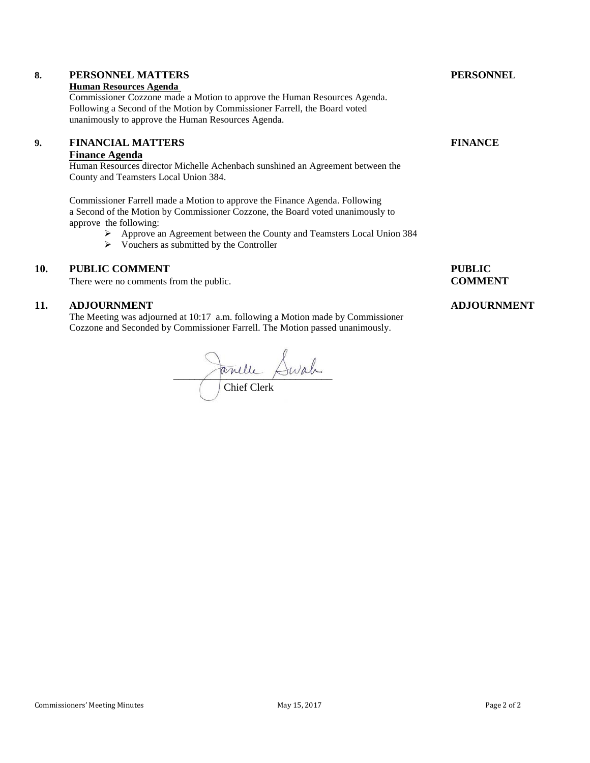# **8. PERSONNEL MATTERS PERSONNEL**

#### **Human Resources Agenda**

Commissioner Cozzone made a Motion to approve the Human Resources Agenda. Following a Second of the Motion by Commissioner Farrell, the Board voted unanimously to approve the Human Resources Agenda.

# **9. FINANCIAL MATTERS FINANCE**

# **Finance Agenda**

Human Resources director Michelle Achenbach sunshined an Agreement between the County and Teamsters Local Union 384.

Commissioner Farrell made a Motion to approve the Finance Agenda. Following a Second of the Motion by Commissioner Cozzone, the Board voted unanimously to approve the following:

- Approve an Agreement between the County and Teamsters Local Union 384
- $\triangleright$  Vouchers as submitted by the Controller

# **10. PUBLIC COMMENT PUBLIC**

There were no comments from the public. **COMMENT** 

# **11. ADJOURNMENT ADJOURNMENT**

The Meeting was adjourned at 10:17 a.m. following a Motion made by Commissioner Cozzone and Seconded by Commissioner Farrell. The Motion passed unanimously.

 $\sim$   $\sim$   $\sim$ Chief Clerk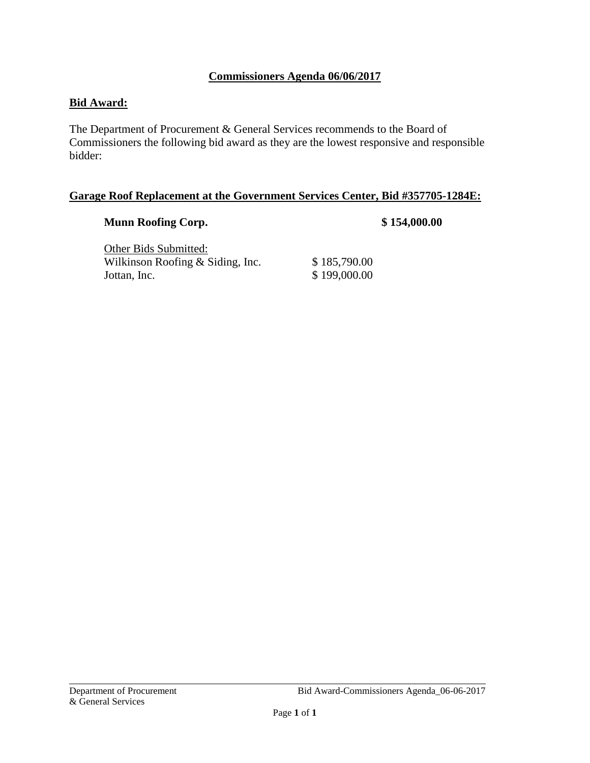# **Commissioners Agenda 06/06/2017**

# **Bid Award:**

The Department of Procurement & General Services recommends to the Board of Commissioners the following bid award as they are the lowest responsive and responsible bidder:

# **Garage Roof Replacement at the Government Services Center, Bid #357705-1284E:**

# **Munn Roofing Corp.** \$154,000.00

| Other Bids Submitted:            |              |
|----------------------------------|--------------|
| Wilkinson Roofing & Siding, Inc. | \$185,790.00 |
| Jottan, Inc.                     | \$199,000.00 |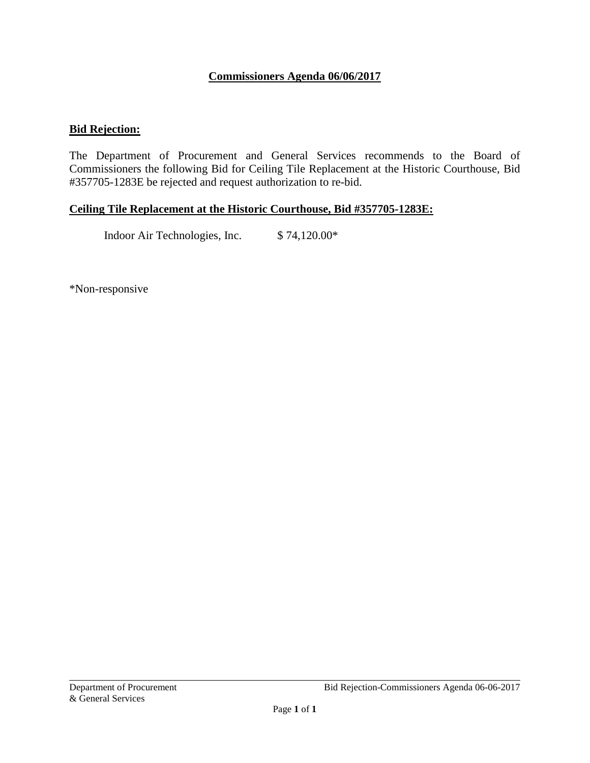# **Commissioners Agenda 06/06/2017**

# **Bid Rejection:**

The Department of Procurement and General Services recommends to the Board of Commissioners the following Bid for Ceiling Tile Replacement at the Historic Courthouse, Bid #357705-1283E be rejected and request authorization to re-bid.

# **Ceiling Tile Replacement at the Historic Courthouse, Bid #357705-1283E:**

Indoor Air Technologies, Inc. \$ 74,120.00\*

\*Non-responsive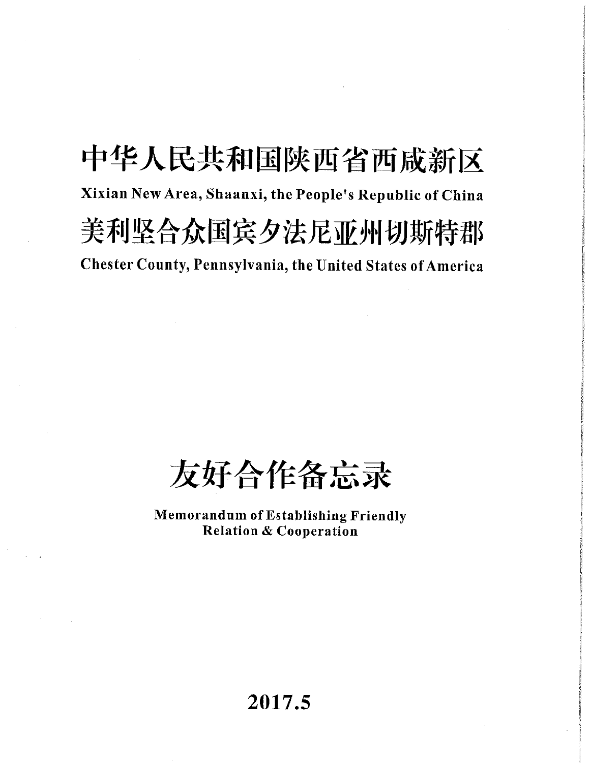# 中华人民共和国陕西省西咸新区 Xixian New Area, Shaanxi, the People's Republic of China 美利坚合众国宾夕法尼亚州切斯特郡 Chester County, Pennsylvania, the United States of America

友好合作备忘录

**Memorandum of Establishing Friendly Relation & Cooperation** 

2017.5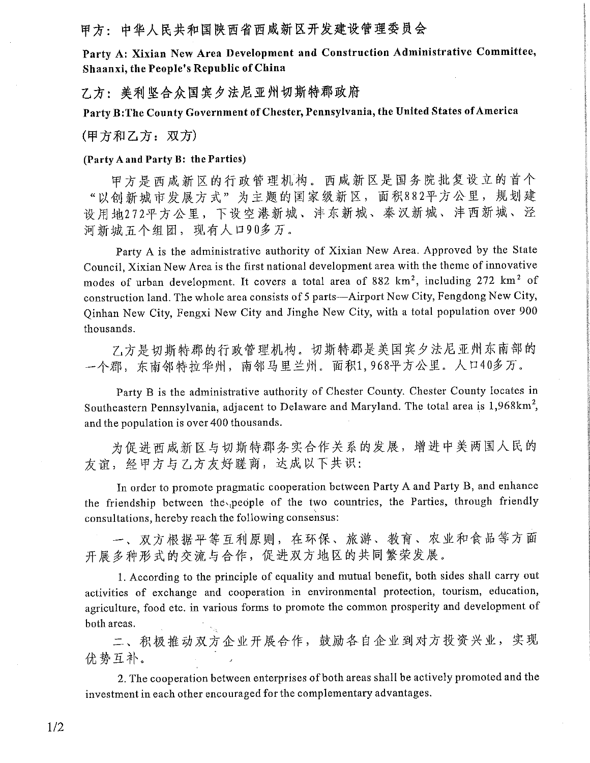# 甲方: 中华人民共和国陕西省西咸新区开发建设管理委员会

Party A: Xixian New Area Development and Construction Administrative Committee, Shaanxi, the People's Republic of China

乙方: 美利坚合众国宾夕法尼亚州切斯特郡政府

Party B: The County Government of Chester, Pennsylvania, the United States of America

(甲方和乙方: 双方)

#### (Party A and Party B: the Parties)

甲方是西咸新区的行政管理机构。西咸新区是国务院批复设立的首个 "以创新城市发展方式"为主题的国家级新区,面积882平方公里,规划建 设用地272平方公里,下设空港新城、沣东新城、秦汉新城、沣西新城、泾 河新城五个组团, 现有人口90多万。

Party A is the administrative authority of Xixian New Area. Approved by the State Council, Xixian New Area is the first national development area with the theme of innovative modes of urban development. It covers a total area of 882 km<sup>2</sup>, including 272 km<sup>2</sup> of construction land. The whole area consists of 5 parts-Airport New City, Fengdong New City, Oinhan New City, Fengxi New City and Jinghe New City, with a total population over 900 thousands.

7.方是切斯特郡的行政管理机构。切斯特郡是美国宾夕法尼亚州东南部的 一个郡, 东南邻特拉华州, 南邻马里兰州。面积1,968平方公里。人口40多万。

Party B is the administrative authority of Chester County. Chester County locates in Southeastern Pennsylvania, adjacent to Delaware and Maryland. The total area is 1,968km<sup>2</sup>, and the population is over 400 thousands.

为促进西咸新区与切斯特郡务实合作关系的发展,增进中美两国人民的 友谊, 经甲方与乙方友好蹉商, 达成以下共识:

In order to promote pragmatic cooperation between Party A and Party B, and enhance the friendship between the people of the two countries, the Parties, through friendly consultations, hereby reach the following consensus:

一、双方根据平等互利原则,在环保、旅游、教育、农业和食品等方面 开展多种形式的交流与合作,促进双方地区的共同繁荣发展。

1. According to the principle of equality and mutual benefit, both sides shall carry out activities of exchange and cooperation in environmental protection, tourism, education, agriculture, food etc. in various forms to promote the common prosperity and development of both areas.

二、积极推动双方企业开展合作, 鼓励各自企业到对方投资兴业, 实现 优势互补。

2. The cooperation between enterprises of both areas shall be actively promoted and the investment in each other encouraged for the complementary advantages.

 $1/2$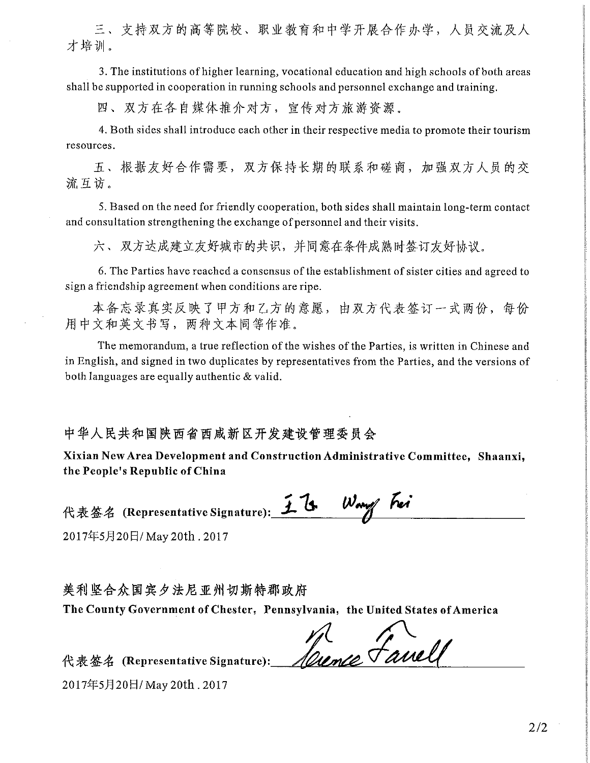三、支持双方的高等院校、职业教育和中学开展合作办学, 人员交流及人 才培训。

3. The institutions of higher learning, vocational education and high schools of both areas shall be supported in cooperation in running schools and personnel exchange and training.

四、双方在各自媒体推介对方, 宣传对方旅游资源。

4. Both sides shall introduce each other in their respective media to promote their tourism resources.

五、根据友好合作需要,双方保持长期的联系和磋商,加强双方人员的交 流互访。

5. Based on the need for friendly cooperation, both sides shall maintain long-term contact and consultation strengthening the exchange of personnel and their visits.

六、双方达成建立友好城市的共识,并同意在条件成熟时答订友好协议。

6. The Parties have reached a consensus of the establishment of sister cities and agreed to sign a friendship agreement when conditions are ripe.

本备忘录真实反映了甲方和乙方的意愿,由双方代表签订一式两份,每份 用中文和英文书写,两种文本同等作准。

The memorandum, a true reflection of the wishes of the Parties, is written in Chinese and in English, and signed in two duplicates by representatives from the Parties, and the versions of both languages are equally authentic & valid.

中华人民共和国陕西省西咸新区开发建设管理委员会

Xixian New Area Development and Construction Administrative Committee, Shaanxi, the People's Republic of China

代表签名 (Representative Signature): *王飞 Wmy hei* 

2017年5月20日/May 20th. 2017

美利坚合众国宾夕法尼亚州切斯特郡政府 The County Government of Chester, Pennsylvania, the United States of America

HL Grand Hande Fauell

2017年5月20日/May 20th. 2017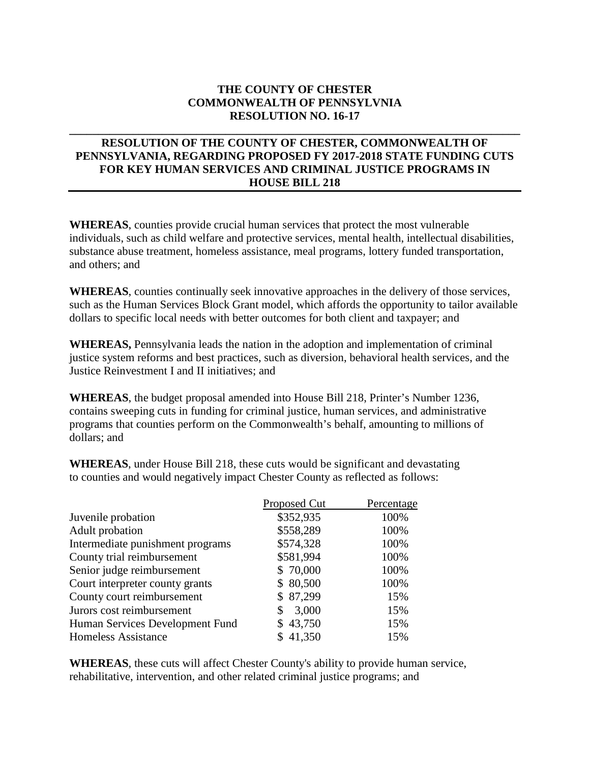# **THE COUNTY OF CHESTER COMMONWEALTH OF PENNSYLVNIA RESOLUTION NO. 16-17**

**\_\_\_\_\_\_\_\_\_\_\_\_\_\_\_\_\_\_\_\_\_\_\_\_\_\_\_\_\_\_\_\_\_\_\_\_\_\_\_\_\_\_\_\_\_\_\_\_\_\_\_\_\_\_\_\_\_\_\_\_\_\_\_\_\_\_\_\_\_\_\_\_\_\_\_\_\_\_** 

# **RESOLUTION OF THE COUNTY OF CHESTER, COMMONWEALTH OF PENNSYLVANIA, REGARDING PROPOSED FY 2017-2018 STATE FUNDING CUTS FOR KEY HUMAN SERVICES AND CRIMINAL JUSTICE PROGRAMS IN HOUSE BILL 218**

**WHEREAS**, counties provide crucial human services that protect the most vulnerable individuals, such as child welfare and protective services, mental health, intellectual disabilities, substance abuse treatment, homeless assistance, meal programs, lottery funded transportation, and others; and

**WHEREAS**, counties continually seek innovative approaches in the delivery of those services, such as the Human Services Block Grant model, which affords the opportunity to tailor available dollars to specific local needs with better outcomes for both client and taxpayer; and

**WHEREAS,** Pennsylvania leads the nation in the adoption and implementation of criminal justice system reforms and best practices, such as diversion, behavioral health services, and the Justice Reinvestment I and II initiatives; and

**WHEREAS**, the budget proposal amended into House Bill 218, Printer's Number 1236, contains sweeping cuts in funding for criminal justice, human services, and administrative programs that counties perform on the Commonwealth's behalf, amounting to millions of dollars; and

**WHEREAS**, under House Bill 218, these cuts would be significant and devastating to counties and would negatively impact Chester County as reflected as follows:

| Proposed Cut | Percentage |
|--------------|------------|
| \$352,935    | 100%       |
| \$558,289    | 100%       |
| \$574,328    | 100%       |
| \$581,994    | 100%       |
| \$70,000     | 100%       |
| \$80,500     | 100%       |
| 87,299<br>\$ | 15%        |
| 3,000        | 15%        |
| 43,750       | 15%        |
| 41,350       | 15%        |
|              |            |

**WHEREAS**, these cuts will affect Chester County's ability to provide human service, rehabilitative, intervention, and other related criminal justice programs; and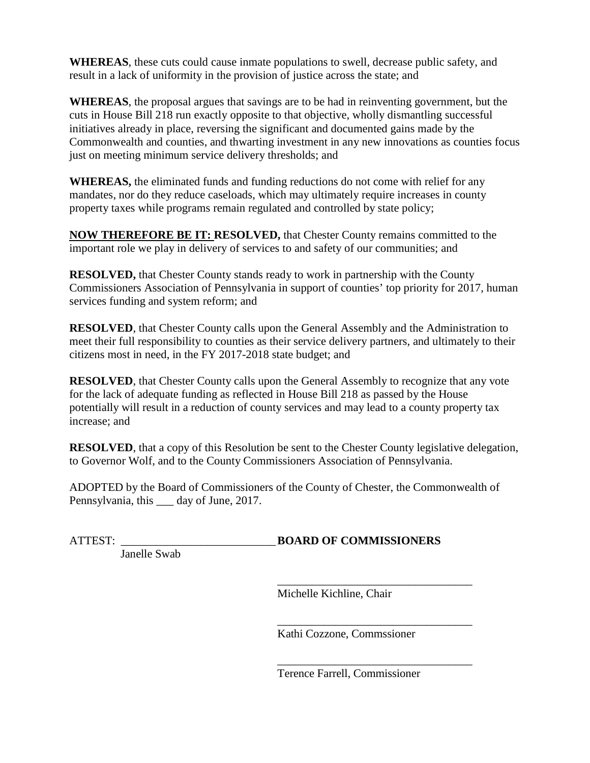**WHEREAS**, these cuts could cause inmate populations to swell, decrease public safety, and result in a lack of uniformity in the provision of justice across the state; and

**WHEREAS**, the proposal argues that savings are to be had in reinventing government, but the cuts in House Bill 218 run exactly opposite to that objective, wholly dismantling successful initiatives already in place, reversing the significant and documented gains made by the Commonwealth and counties, and thwarting investment in any new innovations as counties focus just on meeting minimum service delivery thresholds; and

**WHEREAS,** the eliminated funds and funding reductions do not come with relief for any mandates, nor do they reduce caseloads, which may ultimately require increases in county property taxes while programs remain regulated and controlled by state policy;

**NOW THEREFORE BE IT: RESOLVED,** that Chester County remains committed to the important role we play in delivery of services to and safety of our communities; and

**RESOLVED,** that Chester County stands ready to work in partnership with the County Commissioners Association of Pennsylvania in support of counties' top priority for 2017, human services funding and system reform; and

**RESOLVED**, that Chester County calls upon the General Assembly and the Administration to meet their full responsibility to counties as their service delivery partners, and ultimately to their citizens most in need, in the FY 2017-2018 state budget; and

**RESOLVED**, that Chester County calls upon the General Assembly to recognize that any vote for the lack of adequate funding as reflected in House Bill 218 as passed by the House potentially will result in a reduction of county services and may lead to a county property tax increase; and

**RESOLVED**, that a copy of this Resolution be sent to the Chester County legislative delegation, to Governor Wolf, and to the County Commissioners Association of Pennsylvania.

ADOPTED by the Board of Commissioners of the County of Chester, the Commonwealth of Pennsylvania, this \_\_\_ day of June, 2017.

ATTEST: \_\_\_\_\_\_\_\_\_\_\_\_\_\_\_\_\_\_\_\_\_\_\_\_\_\_\_ **BOARD OF COMMISSIONERS**

Janelle Swab

\_\_\_\_\_\_\_\_\_\_\_\_\_\_\_\_\_\_\_\_\_\_\_\_\_\_\_\_\_\_\_\_\_\_ Michelle Kichline, Chair

\_\_\_\_\_\_\_\_\_\_\_\_\_\_\_\_\_\_\_\_\_\_\_\_\_\_\_\_\_\_\_\_\_\_ Kathi Cozzone, Commssioner

\_\_\_\_\_\_\_\_\_\_\_\_\_\_\_\_\_\_\_\_\_\_\_\_\_\_\_\_\_\_\_\_\_\_ Terence Farrell, Commissioner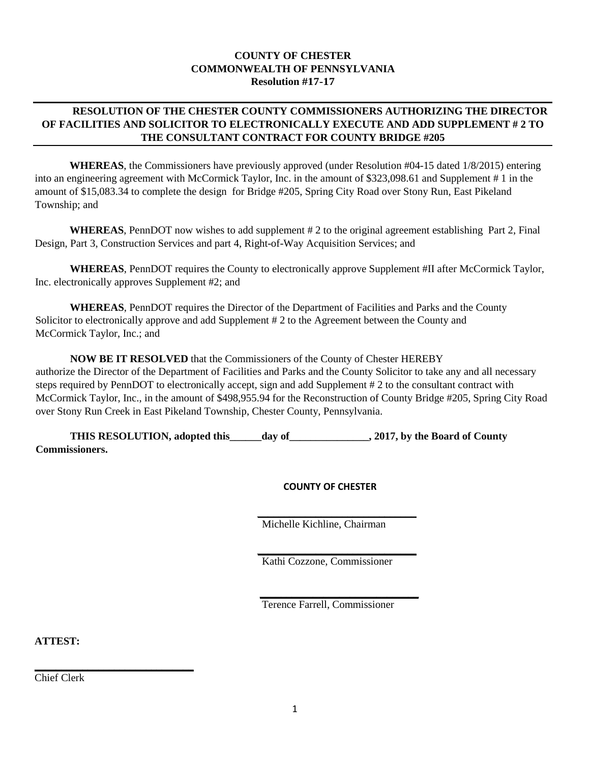# **COUNTY OF CHESTER COMMONWEALTH OF PENNSYLVANIA Resolution #17-17**

# **RESOLUTION OF THE CHESTER COUNTY COMMISSIONERS AUTHORIZING THE DIRECTOR OF FACILITIES AND SOLICITOR TO ELECTRONICALLY EXECUTE AND ADD SUPPLEMENT # 2 TO THE CONSULTANT CONTRACT FOR COUNTY BRIDGE #205**

**WHEREAS**, the Commissioners have previously approved (under Resolution #04-15 dated 1/8/2015) entering into an engineering agreement with McCormick Taylor, Inc. in the amount of \$323,098.61 and Supplement # 1 in the amount of \$15,083.34 to complete the design for Bridge #205, Spring City Road over Stony Run, East Pikeland Township; and

**WHEREAS**, PennDOT now wishes to add supplement # 2 to the original agreement establishing Part 2, Final Design, Part 3, Construction Services and part 4, Right-of-Way Acquisition Services; and

**WHEREAS**, PennDOT requires the County to electronically approve Supplement #II after McCormick Taylor, Inc. electronically approves Supplement #2; and

**WHEREAS**, PennDOT requires the Director of the Department of Facilities and Parks and the County Solicitor to electronically approve and add Supplement # 2 to the Agreement between the County and McCormick Taylor, Inc.; and

**NOW BE IT RESOLVED** that the Commissioners of the County of Chester HEREBY authorize the Director of the Department of Facilities and Parks and the County Solicitor to take any and all necessary steps required by PennDOT to electronically accept, sign and add Supplement # 2 to the consultant contract with McCormick Taylor, Inc., in the amount of \$498,955.94 for the Reconstruction of County Bridge #205, Spring City Road over Stony Run Creek in East Pikeland Township, Chester County, Pennsylvania.

**THIS RESOLUTION, adopted this day of the Solution Algebra 2017, by the Board of County Commissioners.**

**COUNTY OF CHESTER**

 **\_\_\_\_\_\_\_\_\_\_\_\_\_\_\_\_\_\_\_\_\_\_\_\_\_\_\_\_\_\_** Michelle Kichline, Chairman

 **\_\_\_\_\_\_\_\_\_\_\_\_\_\_\_\_\_\_\_\_\_\_\_\_\_\_\_\_\_\_** Kathi Cozzone, Commissioner

 **\_\_\_\_\_\_\_\_\_\_\_\_\_\_\_\_\_\_\_\_\_\_\_\_\_\_\_\_\_\_** Terence Farrell, Commissioner

**ATTEST:** 

Chief Clerk

**\_\_\_\_\_\_\_\_\_\_\_\_\_\_\_\_\_\_\_\_\_\_\_\_\_\_\_\_\_\_**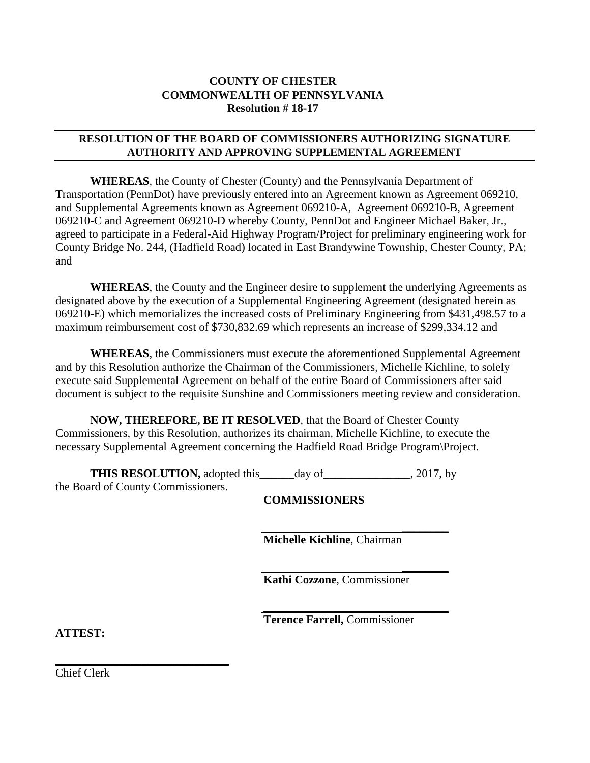# **COUNTY OF CHESTER COMMONWEALTH OF PENNSYLVANIA Resolution # 18-17**

# **RESOLUTION OF THE BOARD OF COMMISSIONERS AUTHORIZING SIGNATURE AUTHORITY AND APPROVING SUPPLEMENTAL AGREEMENT**

**WHEREAS**, the County of Chester (County) and the Pennsylvania Department of Transportation (PennDot) have previously entered into an Agreement known as Agreement 069210, and Supplemental Agreements known as Agreement 069210-A, Agreement 069210-B, Agreement 069210-C and Agreement 069210-D whereby County, PennDot and Engineer Michael Baker, Jr., agreed to participate in a Federal-Aid Highway Program/Project for preliminary engineering work for County Bridge No. 244, (Hadfield Road) located in East Brandywine Township, Chester County, PA; and

**WHEREAS**, the County and the Engineer desire to supplement the underlying Agreements as designated above by the execution of a Supplemental Engineering Agreement (designated herein as 069210-E) which memorializes the increased costs of Preliminary Engineering from \$431,498.57 to a maximum reimbursement cost of \$730,832.69 which represents an increase of \$299,334.12 and

**WHEREAS**, the Commissioners must execute the aforementioned Supplemental Agreement and by this Resolution authorize the Chairman of the Commissioners, Michelle Kichline, to solely execute said Supplemental Agreement on behalf of the entire Board of Commissioners after said document is subject to the requisite Sunshine and Commissioners meeting review and consideration.

**NOW, THEREFORE, BE IT RESOLVED**, that the Board of Chester County Commissioners, by this Resolution, authorizes its chairman, Michelle Kichline, to execute the necessary Supplemental Agreement concerning the Hadfield Road Bridge Program\Project.

**THIS RESOLUTION,** adopted this day of . 2017, by the Board of County Commissioners.

# **COMMISSIONERS**

**\_\_\_\_\_\_\_\_ Michelle Kichline**, Chairman

**Kathi Cozzone**, Commissioner

**\_\_\_\_\_\_\_\_**

**Terence Farrell,** Commissioner

 **\_\_\_\_\_\_\_\_\_\_\_\_\_\_\_\_\_\_\_\_\_\_\_\_\_\_\_\_\_\_\_\_**

**ATTEST:** 

Chief Clerk

**\_\_\_\_\_\_\_\_\_\_\_\_\_\_\_\_\_\_\_\_\_\_\_\_\_\_\_\_\_\_**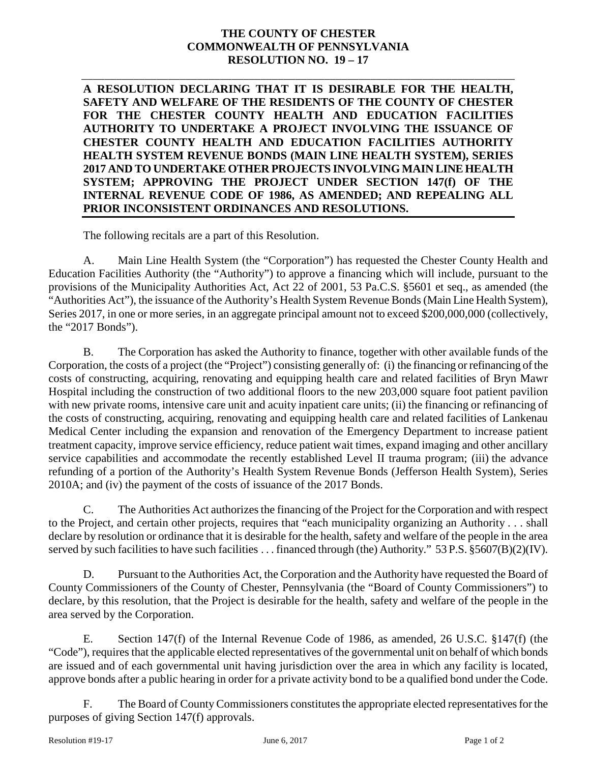### **THE COUNTY OF CHESTER COMMONWEALTH OF PENNSYLVANIA RESOLUTION NO. 19 – 17**

**\_\_\_\_\_\_\_\_\_\_\_\_\_\_\_\_\_\_\_\_\_\_\_\_\_\_\_\_\_\_\_\_\_\_\_\_\_\_\_\_\_\_\_\_\_\_\_\_\_\_\_\_\_\_\_\_\_\_\_\_\_\_\_\_\_\_\_\_\_\_\_\_\_\_\_**

**A RESOLUTION DECLARING THAT IT IS DESIRABLE FOR THE HEALTH, SAFETY AND WELFARE OF THE RESIDENTS OF THE COUNTY OF CHESTER FOR THE CHESTER COUNTY HEALTH AND EDUCATION FACILITIES AUTHORITY TO UNDERTAKE A PROJECT INVOLVING THE ISSUANCE OF CHESTER COUNTY HEALTH AND EDUCATION FACILITIES AUTHORITY HEALTH SYSTEM REVENUE BONDS (MAIN LINE HEALTH SYSTEM), SERIES 2017 AND TO UNDERTAKE OTHER PROJECTS INVOLVING MAIN LINE HEALTH SYSTEM; APPROVING THE PROJECT UNDER SECTION 147(f) OF THE INTERNAL REVENUE CODE OF 1986, AS AMENDED; AND REPEALING ALL PRIOR INCONSISTENT ORDINANCES AND RESOLUTIONS.**

The following recitals are a part of this Resolution.

A. Main Line Health System (the "Corporation") has requested the Chester County Health and Education Facilities Authority (the "Authority") to approve a financing which will include, pursuant to the provisions of the Municipality Authorities Act, Act 22 of 2001, 53 Pa.C.S. §5601 et seq., as amended (the "Authorities Act"), the issuance of the Authority's Health System Revenue Bonds (Main Line Health System), Series 2017, in one or more series, in an aggregate principal amount not to exceed \$200,000,000 (collectively, the "2017 Bonds").

B. The Corporation has asked the Authority to finance, together with other available funds of the Corporation, the costs of a project (the "Project") consisting generally of: (i) the financing or refinancing of the costs of constructing, acquiring, renovating and equipping health care and related facilities of Bryn Mawr Hospital including the construction of two additional floors to the new 203,000 square foot patient pavilion with new private rooms, intensive care unit and acuity inpatient care units; (ii) the financing or refinancing of the costs of constructing, acquiring, renovating and equipping health care and related facilities of Lankenau Medical Center including the expansion and renovation of the Emergency Department to increase patient treatment capacity, improve service efficiency, reduce patient wait times, expand imaging and other ancillary service capabilities and accommodate the recently established Level II trauma program; (iii) the advance refunding of a portion of the Authority's Health System Revenue Bonds (Jefferson Health System), Series 2010A; and (iv) the payment of the costs of issuance of the 2017 Bonds.

C. The Authorities Act authorizes the financing of the Project for the Corporation and with respect to the Project, and certain other projects, requires that "each municipality organizing an Authority . . . shall declare by resolution or ordinance that it is desirable for the health, safety and welfare of the people in the area served by such facilities to have such facilities ... financed through (the) Authority." 53 P.S. §5607(B)(2)(IV).

D. Pursuant to the Authorities Act, the Corporation and the Authority have requested the Board of County Commissioners of the County of Chester, Pennsylvania (the "Board of County Commissioners") to declare, by this resolution, that the Project is desirable for the health, safety and welfare of the people in the area served by the Corporation.

E. Section 147(f) of the Internal Revenue Code of 1986, as amended, 26 U.S.C. §147(f) (the "Code"), requires that the applicable elected representatives of the governmental unit on behalf of which bonds are issued and of each governmental unit having jurisdiction over the area in which any facility is located, approve bonds after a public hearing in order for a private activity bond to be a qualified bond under the Code.

F. The Board of County Commissioners constitutes the appropriate elected representatives for the purposes of giving Section 147(f) approvals.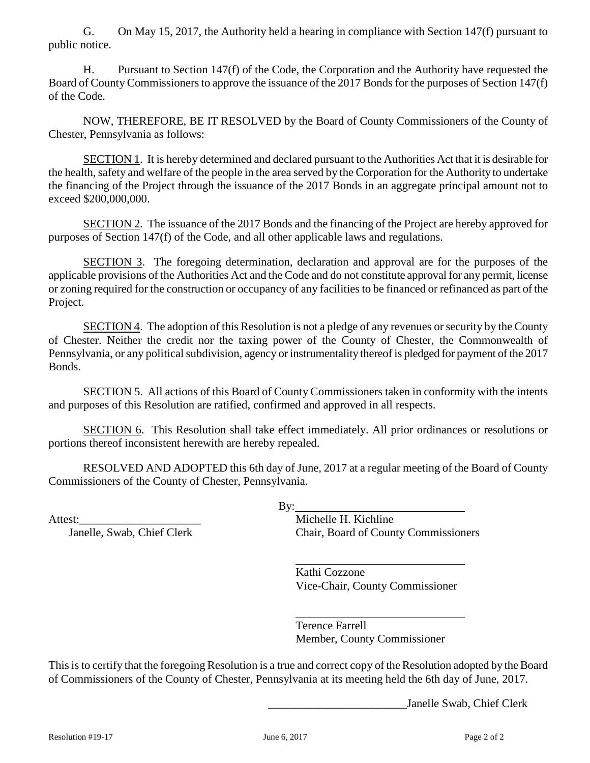G. On May 15, 2017, the Authority held a hearing in compliance with Section 147(f) pursuant to public notice.

H. Pursuant to Section 147(f) of the Code, the Corporation and the Authority have requested the Board of County Commissioners to approve the issuance of the 2017 Bonds for the purposes of Section 147(f) of the Code.

NOW, THEREFORE, BE IT RESOLVED by the Board of County Commissioners of the County of Chester, Pennsylvania as follows:

SECTION 1. It is hereby determined and declared pursuant to the Authorities Act that it is desirable for the health, safety and welfare of the people in the area served by the Corporation for the Authority to undertake the financing of the Project through the issuance of the 2017 Bonds in an aggregate principal amount not to exceed \$200,000,000.

SECTION 2. The issuance of the 2017 Bonds and the financing of the Project are hereby approved for purposes of Section 147(f) of the Code, and all other applicable laws and regulations.

SECTION 3. The foregoing determination, declaration and approval are for the purposes of the applicable provisions of the Authorities Act and the Code and do not constitute approval for any permit, license or zoning required for the construction or occupancy of any facilities to be financed or refinanced as part of the Project.

SECTION 4. The adoption of this Resolution is not a pledge of any revenues or security by the County of Chester. Neither the credit nor the taxing power of the County of Chester, the Commonwealth of Pennsylvania, or any political subdivision, agency or instrumentality thereof is pledged for payment of the 2017 Bonds.

SECTION 5. All actions of this Board of County Commissioners taken in conformity with the intents and purposes of this Resolution are ratified, confirmed and approved in all respects.

SECTION 6. This Resolution shall take effect immediately. All prior ordinances or resolutions or portions thereof inconsistent herewith are hereby repealed.

RESOLVED AND ADOPTED this 6th day of June, 2017 at a regular meeting of the Board of County Commissioners of the County of Chester, Pennsylvania.

By:

Attest: Michelle H. Kichline Janelle, Swab, Chief Clerk Chair, Board of County Commissioners

> Kathi Cozzone Vice-Chair, County Commissioner

Terence Farrell Member, County Commissioner

This is to certify that the foregoing Resolution is a true and correct copy of the Resolution adopted by the Board of Commissioners of the County of Chester, Pennsylvania at its meeting held the 6th day of June, 2017.

Janelle Swab, Chief Clerk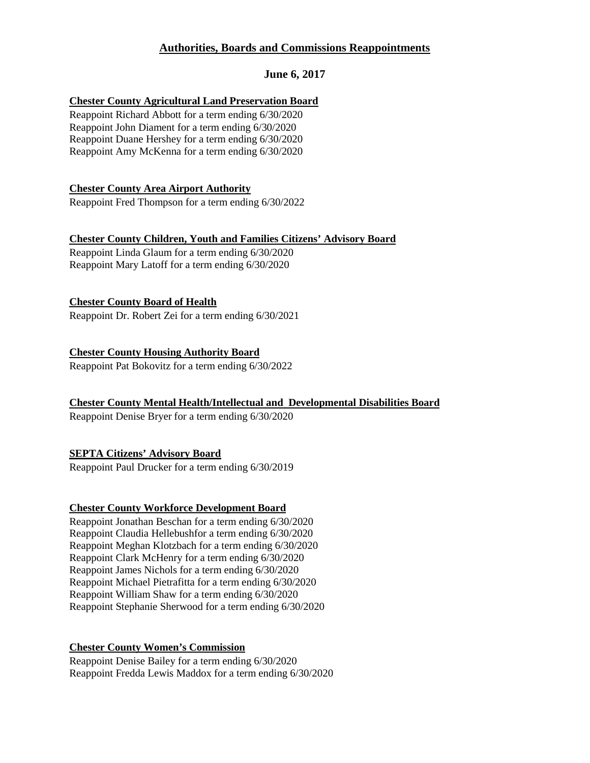# **Authorities, Boards and Commissions Reappointments**

# **June 6, 2017**

# **Chester County Agricultural Land Preservation Board**

Reappoint Richard Abbott for a term ending 6/30/2020 Reappoint John Diament for a term ending 6/30/2020 Reappoint Duane Hershey for a term ending 6/30/2020 Reappoint Amy McKenna for a term ending 6/30/2020

# **Chester County Area Airport Authority**

Reappoint Fred Thompson for a term ending 6/30/2022

#### **Chester County Children, Youth and Families Citizens' Advisory Board**

Reappoint Linda Glaum for a term ending 6/30/2020 Reappoint Mary Latoff for a term ending 6/30/2020

#### **Chester County Board of Health**

Reappoint Dr. Robert Zei for a term ending 6/30/2021

#### **Chester County Housing Authority Board**

Reappoint Pat Bokovitz for a term ending 6/30/2022

#### **Chester County Mental Health/Intellectual and Developmental Disabilities Board**

Reappoint Denise Bryer for a term ending 6/30/2020

#### **SEPTA Citizens' Advisory Board**

Reappoint Paul Drucker for a term ending 6/30/2019

#### **Chester County Workforce Development Board**

Reappoint Jonathan Beschan for a term ending 6/30/2020 Reappoint Claudia Hellebushfor a term ending 6/30/2020 Reappoint Meghan Klotzbach for a term ending 6/30/2020 Reappoint Clark McHenry for a term ending 6/30/2020 Reappoint James Nichols for a term ending 6/30/2020 Reappoint Michael Pietrafitta for a term ending 6/30/2020 Reappoint William Shaw for a term ending 6/30/2020 Reappoint Stephanie Sherwood for a term ending 6/30/2020

#### **Chester County Women's Commission**

Reappoint Denise Bailey for a term ending 6/30/2020 Reappoint Fredda Lewis Maddox for a term ending 6/30/2020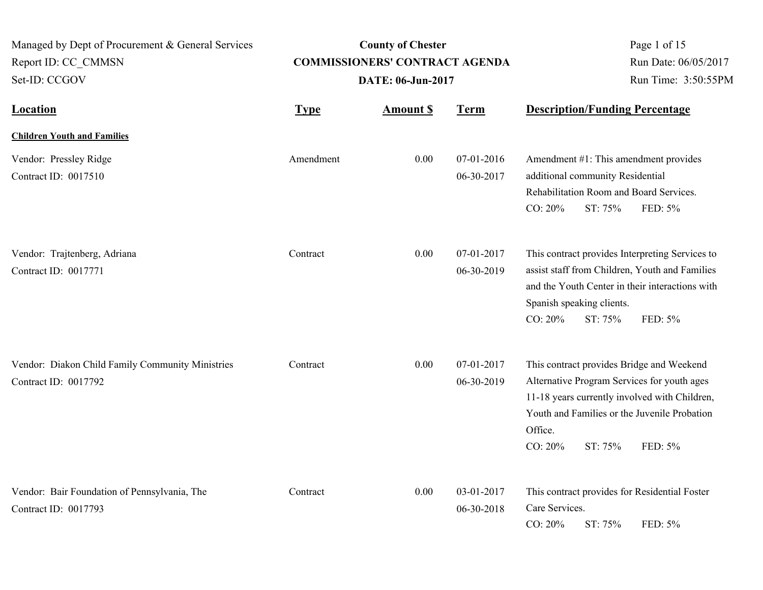| Managed by Dept of Procurement & General Services<br>Report ID: CC CMMSN<br>Set-ID: CCGOV |             | <b>County of Chester</b><br><b>COMMISSIONERS' CONTRACT AGENDA</b><br>DATE: 06-Jun-2017 | Page 1 of 15<br>Run Date: 06/05/2017<br>Run Time: 3:50:55PM |                                                                                                                                                                                                                                       |
|-------------------------------------------------------------------------------------------|-------------|----------------------------------------------------------------------------------------|-------------------------------------------------------------|---------------------------------------------------------------------------------------------------------------------------------------------------------------------------------------------------------------------------------------|
| <b>Location</b>                                                                           | <b>Type</b> | <b>Amount S</b>                                                                        | <b>Term</b>                                                 | <b>Description/Funding Percentage</b>                                                                                                                                                                                                 |
| <b>Children Youth and Families</b>                                                        |             |                                                                                        |                                                             |                                                                                                                                                                                                                                       |
| Vendor: Pressley Ridge<br>Contract ID: 0017510                                            | Amendment   | 0.00                                                                                   | 07-01-2016<br>06-30-2017                                    | Amendment #1: This amendment provides<br>additional community Residential<br>Rehabilitation Room and Board Services.<br>CO: 20%<br>ST: 75%<br>FED: 5%                                                                                 |
| Vendor: Trajtenberg, Adriana<br>Contract ID: 0017771                                      | Contract    | 0.00                                                                                   | 07-01-2017<br>06-30-2019                                    | This contract provides Interpreting Services to<br>assist staff from Children, Youth and Families<br>and the Youth Center in their interactions with<br>Spanish speaking clients.<br>CO: 20%<br>ST: 75%<br>FED: 5%                    |
| Vendor: Diakon Child Family Community Ministries<br>Contract ID: 0017792                  | Contract    | 0.00                                                                                   | 07-01-2017<br>06-30-2019                                    | This contract provides Bridge and Weekend<br>Alternative Program Services for youth ages<br>11-18 years currently involved with Children,<br>Youth and Families or the Juvenile Probation<br>Office.<br>CO: 20%<br>ST: 75%<br>FED: 5% |
| Vendor: Bair Foundation of Pennsylvania, The<br>Contract ID: 0017793                      | Contract    | 0.00                                                                                   | 03-01-2017<br>06-30-2018                                    | This contract provides for Residential Foster<br>Care Services.<br>CO: 20%<br>ST: 75%<br>FED: 5%                                                                                                                                      |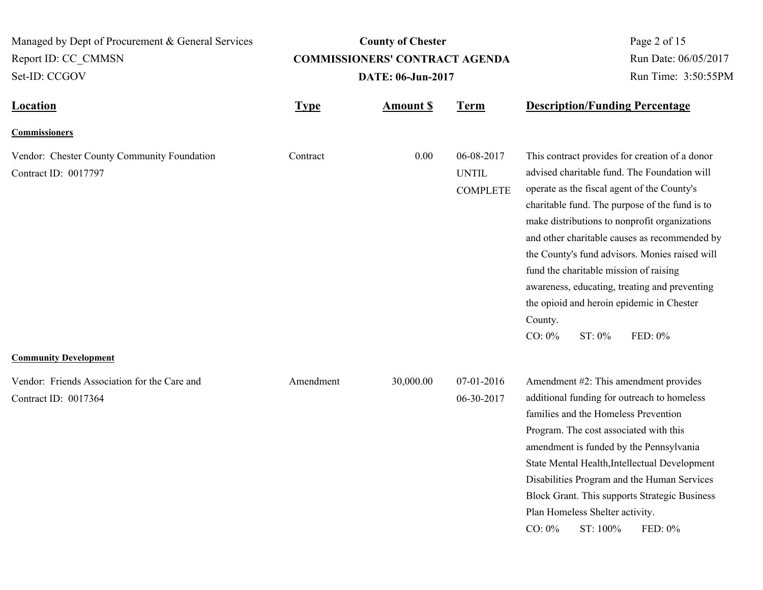| Managed by Dept of Procurement & General Services<br><b>County of Chester</b><br><b>COMMISSIONERS' CONTRACT AGENDA</b><br>Report ID: CC CMMSN<br>Set-ID: CCGOV<br>DATE: 06-Jun-2017 |             |                  |                                               | Page 2 of 15<br>Run Date: 06/05/2017<br>Run Time: 3:50:55PM                                                                                                                                                                                                                                                                                                                                                                                                                                                                              |
|-------------------------------------------------------------------------------------------------------------------------------------------------------------------------------------|-------------|------------------|-----------------------------------------------|------------------------------------------------------------------------------------------------------------------------------------------------------------------------------------------------------------------------------------------------------------------------------------------------------------------------------------------------------------------------------------------------------------------------------------------------------------------------------------------------------------------------------------------|
| <b>Location</b>                                                                                                                                                                     | <b>Type</b> | <b>Amount \$</b> | <b>Term</b>                                   | <b>Description/Funding Percentage</b>                                                                                                                                                                                                                                                                                                                                                                                                                                                                                                    |
| <b>Commissioners</b>                                                                                                                                                                |             |                  |                                               |                                                                                                                                                                                                                                                                                                                                                                                                                                                                                                                                          |
| Vendor: Chester County Community Foundation<br>Contract ID: 0017797                                                                                                                 | Contract    | 0.00             | 06-08-2017<br><b>UNTIL</b><br><b>COMPLETE</b> | This contract provides for creation of a donor<br>advised charitable fund. The Foundation will<br>operate as the fiscal agent of the County's<br>charitable fund. The purpose of the fund is to<br>make distributions to nonprofit organizations<br>and other charitable causes as recommended by<br>the County's fund advisors. Monies raised will<br>fund the charitable mission of raising<br>awareness, educating, treating and preventing<br>the opioid and heroin epidemic in Chester<br>County.<br>ST: 0%<br>FED: 0%<br>$CO: 0\%$ |
| <b>Community Development</b>                                                                                                                                                        |             |                  |                                               |                                                                                                                                                                                                                                                                                                                                                                                                                                                                                                                                          |
| Vendor: Friends Association for the Care and<br>Contract ID: 0017364                                                                                                                | Amendment   | 30,000.00        | 07-01-2016<br>06-30-2017                      | Amendment #2: This amendment provides<br>additional funding for outreach to homeless<br>families and the Homeless Prevention<br>Program. The cost associated with this<br>amendment is funded by the Pennsylvania<br>State Mental Health, Intellectual Development<br>Disabilities Program and the Human Services<br>Block Grant. This supports Strategic Business<br>Plan Homeless Shelter activity.<br>ST: 100%<br>$CO: 0\%$<br>FED: 0%                                                                                                |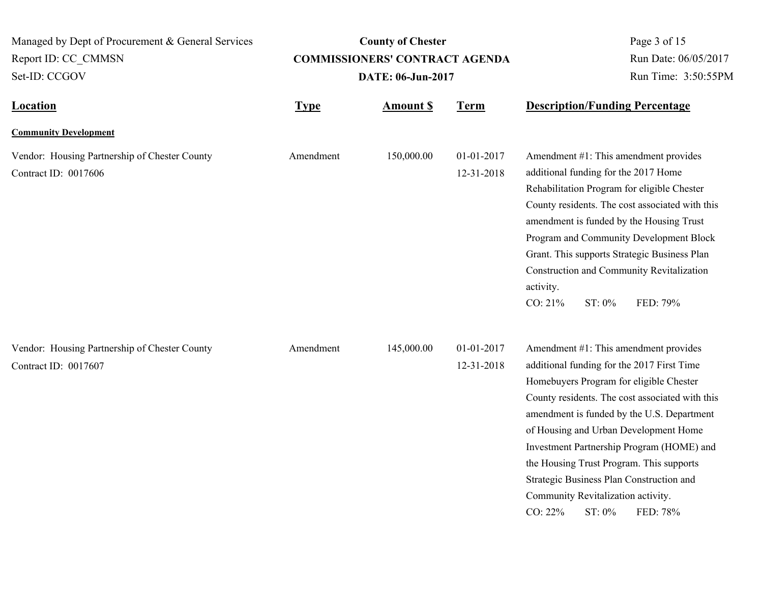| Managed by Dept of Procurement & General Services                     | <b>County of Chester</b> |                                       |                          | Page 3 of 15                                                                                                                                                                                                                                                                                                                                                                                                                                                                         |  |  |
|-----------------------------------------------------------------------|--------------------------|---------------------------------------|--------------------------|--------------------------------------------------------------------------------------------------------------------------------------------------------------------------------------------------------------------------------------------------------------------------------------------------------------------------------------------------------------------------------------------------------------------------------------------------------------------------------------|--|--|
| Report ID: CC CMMSN                                                   |                          | <b>COMMISSIONERS' CONTRACT AGENDA</b> |                          | Run Date: 06/05/2017                                                                                                                                                                                                                                                                                                                                                                                                                                                                 |  |  |
| Set-ID: CCGOV                                                         |                          | DATE: 06-Jun-2017                     | Run Time: 3:50:55PM      |                                                                                                                                                                                                                                                                                                                                                                                                                                                                                      |  |  |
| <b>Location</b>                                                       | <b>Type</b>              | <b>Amount S</b>                       | <b>Term</b>              | <b>Description/Funding Percentage</b>                                                                                                                                                                                                                                                                                                                                                                                                                                                |  |  |
| <b>Community Development</b>                                          |                          |                                       |                          |                                                                                                                                                                                                                                                                                                                                                                                                                                                                                      |  |  |
| Vendor: Housing Partnership of Chester County<br>Contract ID: 0017606 | Amendment                | 150,000.00                            | 01-01-2017<br>12-31-2018 | Amendment #1: This amendment provides<br>additional funding for the 2017 Home<br>Rehabilitation Program for eligible Chester<br>County residents. The cost associated with this<br>amendment is funded by the Housing Trust<br>Program and Community Development Block<br>Grant. This supports Strategic Business Plan<br>Construction and Community Revitalization<br>activity.<br>CO: 21%<br>FED: 79%<br>ST: 0%                                                                    |  |  |
| Vendor: Housing Partnership of Chester County<br>Contract ID: 0017607 | Amendment                | 145,000.00                            | 01-01-2017<br>12-31-2018 | Amendment #1: This amendment provides<br>additional funding for the 2017 First Time<br>Homebuyers Program for eligible Chester<br>County residents. The cost associated with this<br>amendment is funded by the U.S. Department<br>of Housing and Urban Development Home<br>Investment Partnership Program (HOME) and<br>the Housing Trust Program. This supports<br>Strategic Business Plan Construction and<br>Community Revitalization activity.<br>CO: 22%<br>ST: 0%<br>FED: 78% |  |  |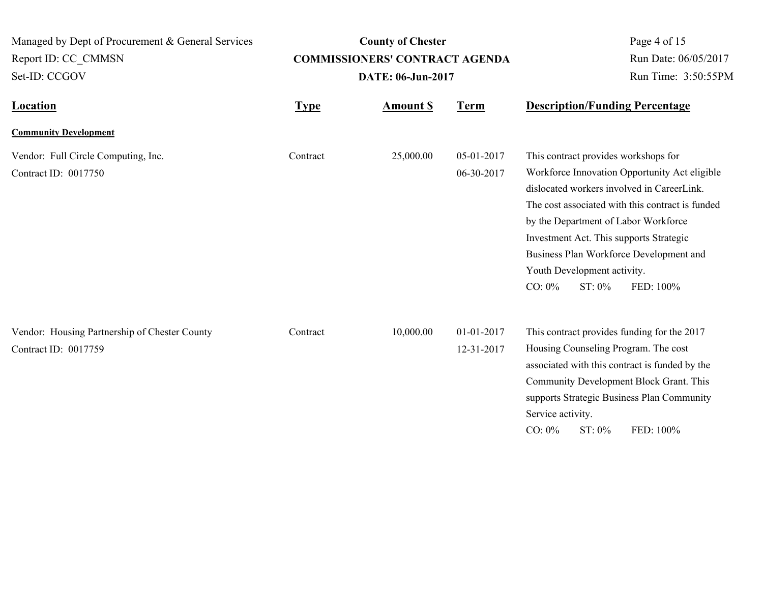| Managed by Dept of Procurement & General Services<br>Report ID: CC CMMSN<br>Set-ID: CCGOV |             | <b>County of Chester</b><br><b>COMMISSIONERS' CONTRACT AGENDA</b><br>DATE: 06-Jun-2017 | Page 4 of 15<br>Run Date: 06/05/2017<br>Run Time: 3:50:55PM |                                                                                                                                                                                                                                                                                                                                                                                             |
|-------------------------------------------------------------------------------------------|-------------|----------------------------------------------------------------------------------------|-------------------------------------------------------------|---------------------------------------------------------------------------------------------------------------------------------------------------------------------------------------------------------------------------------------------------------------------------------------------------------------------------------------------------------------------------------------------|
| <b>Location</b>                                                                           | <b>Type</b> | <b>Amount S</b>                                                                        | <b>Term</b>                                                 | <b>Description/Funding Percentage</b>                                                                                                                                                                                                                                                                                                                                                       |
| <b>Community Development</b>                                                              |             |                                                                                        |                                                             |                                                                                                                                                                                                                                                                                                                                                                                             |
| Vendor: Full Circle Computing, Inc.<br>Contract ID: 0017750                               | Contract    | 25,000.00                                                                              | 05-01-2017<br>06-30-2017                                    | This contract provides workshops for<br>Workforce Innovation Opportunity Act eligible<br>dislocated workers involved in CareerLink.<br>The cost associated with this contract is funded<br>by the Department of Labor Workforce<br>Investment Act. This supports Strategic<br>Business Plan Workforce Development and<br>Youth Development activity.<br>$CO: 0\%$<br>$ST: 0\%$<br>FED: 100% |
| Vendor: Housing Partnership of Chester County<br>Contract ID: 0017759                     | Contract    | 10,000.00                                                                              | 01-01-2017<br>12-31-2017                                    | This contract provides funding for the 2017<br>Housing Counseling Program. The cost<br>associated with this contract is funded by the<br>Community Development Block Grant. This<br>supports Strategic Business Plan Community<br>Service activity.<br>$CO: 0\%$<br>ST: 0%<br>FED: 100%                                                                                                     |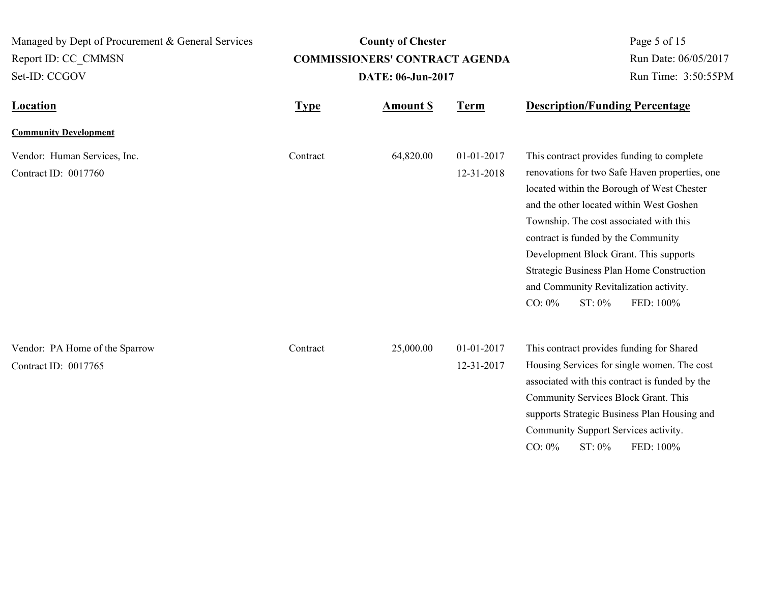| Managed by Dept of Procurement & General Services      |             | <b>County of Chester</b>              |                          | Page 5 of 15                                                                                                                                                                                                                                                                                                                                                                                                                                  |
|--------------------------------------------------------|-------------|---------------------------------------|--------------------------|-----------------------------------------------------------------------------------------------------------------------------------------------------------------------------------------------------------------------------------------------------------------------------------------------------------------------------------------------------------------------------------------------------------------------------------------------|
| Report ID: CC_CMMSN                                    |             | <b>COMMISSIONERS' CONTRACT AGENDA</b> |                          | Run Date: 06/05/2017                                                                                                                                                                                                                                                                                                                                                                                                                          |
| Set-ID: CCGOV                                          |             | DATE: 06-Jun-2017                     |                          | Run Time: 3:50:55PM                                                                                                                                                                                                                                                                                                                                                                                                                           |
| <b>Location</b>                                        | <b>Type</b> | <b>Amount S</b>                       | <b>Term</b>              | <b>Description/Funding Percentage</b>                                                                                                                                                                                                                                                                                                                                                                                                         |
| <b>Community Development</b>                           |             |                                       |                          |                                                                                                                                                                                                                                                                                                                                                                                                                                               |
| Vendor: Human Services, Inc.<br>Contract ID: 0017760   | Contract    | 64,820.00                             | 01-01-2017<br>12-31-2018 | This contract provides funding to complete<br>renovations for two Safe Haven properties, one<br>located within the Borough of West Chester<br>and the other located within West Goshen<br>Township. The cost associated with this<br>contract is funded by the Community<br>Development Block Grant. This supports<br>Strategic Business Plan Home Construction<br>and Community Revitalization activity.<br>$CO: 0\%$<br>ST: 0%<br>FED: 100% |
| Vendor: PA Home of the Sparrow<br>Contract ID: 0017765 | Contract    | 25,000.00                             | 01-01-2017<br>12-31-2017 | This contract provides funding for Shared<br>Housing Services for single women. The cost<br>associated with this contract is funded by the<br>Community Services Block Grant. This<br>supports Strategic Business Plan Housing and<br>Community Support Services activity.<br>$CO: 0\%$<br>ST: 0%<br>FED: 100%                                                                                                                                |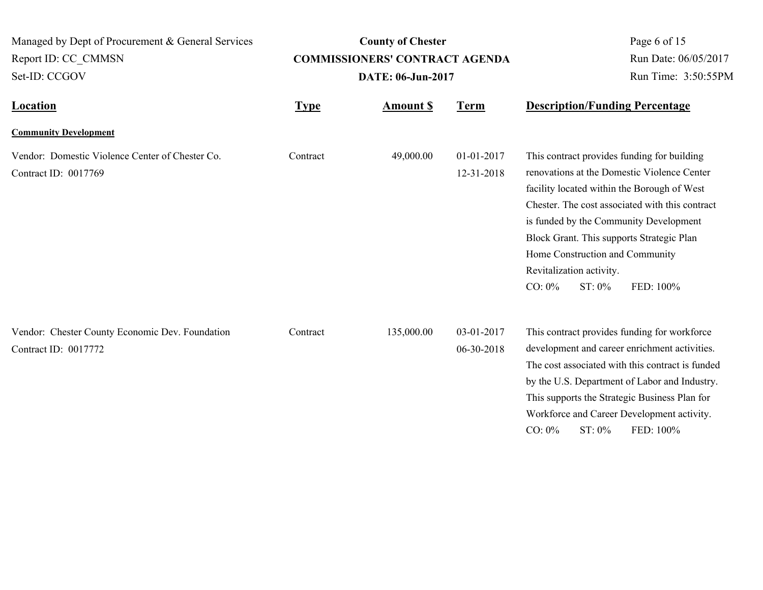| Managed by Dept of Procurement & General Services                       |             | <b>County of Chester</b>                                   | Page 6 of 15<br>Run Date: 06/05/2017<br>Run Time: 3:50:55PM |                                                                                                                                                                                                                                                                                                                                                                                        |
|-------------------------------------------------------------------------|-------------|------------------------------------------------------------|-------------------------------------------------------------|----------------------------------------------------------------------------------------------------------------------------------------------------------------------------------------------------------------------------------------------------------------------------------------------------------------------------------------------------------------------------------------|
| Report ID: CC CMMSN<br>Set-ID: CCGOV                                    |             | <b>COMMISSIONERS' CONTRACT AGENDA</b><br>DATE: 06-Jun-2017 |                                                             |                                                                                                                                                                                                                                                                                                                                                                                        |
| <b>Location</b>                                                         | <b>Type</b> | <b>Amount \$</b>                                           | <b>Term</b>                                                 | <b>Description/Funding Percentage</b>                                                                                                                                                                                                                                                                                                                                                  |
| <b>Community Development</b>                                            |             |                                                            |                                                             |                                                                                                                                                                                                                                                                                                                                                                                        |
| Vendor: Domestic Violence Center of Chester Co.<br>Contract ID: 0017769 | Contract    | 49,000.00                                                  | 01-01-2017<br>12-31-2018                                    | This contract provides funding for building<br>renovations at the Domestic Violence Center<br>facility located within the Borough of West<br>Chester. The cost associated with this contract<br>is funded by the Community Development<br>Block Grant. This supports Strategic Plan<br>Home Construction and Community<br>Revitalization activity.<br>ST: 0%<br>$CO: 0\%$<br>FED: 100% |
| Vendor: Chester County Economic Dev. Foundation<br>Contract ID: 0017772 | Contract    | 135,000.00                                                 | 03-01-2017<br>06-30-2018                                    | This contract provides funding for workforce<br>development and career enrichment activities.<br>The cost associated with this contract is funded<br>by the U.S. Department of Labor and Industry.<br>This supports the Strategic Business Plan for<br>Workforce and Career Development activity.<br>$CO: 0\%$<br>ST: 0%<br>FED: 100%                                                  |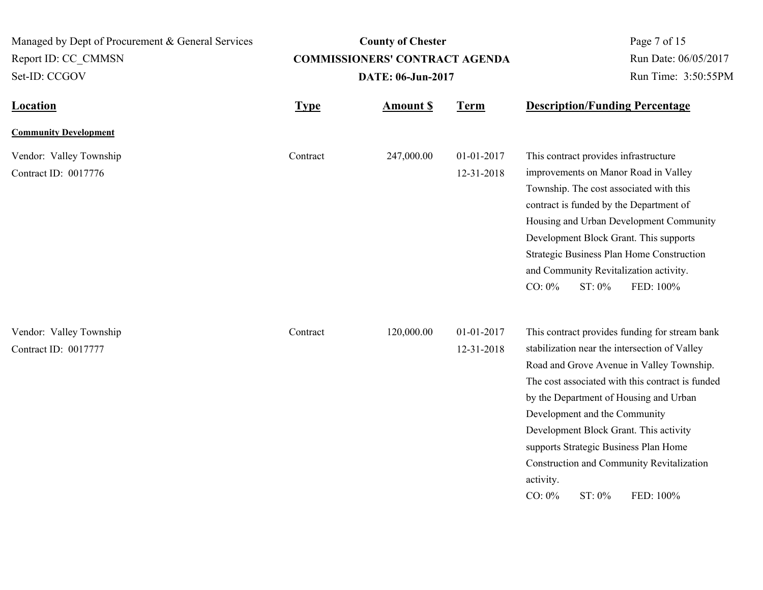| Managed by Dept of Procurement & General Services |             | <b>County of Chester</b>              | Page 7 of 15                                                                                                                                                      |                                                                                                                                                                                                                                                                                                                                                                                                                                                              |
|---------------------------------------------------|-------------|---------------------------------------|-------------------------------------------------------------------------------------------------------------------------------------------------------------------|--------------------------------------------------------------------------------------------------------------------------------------------------------------------------------------------------------------------------------------------------------------------------------------------------------------------------------------------------------------------------------------------------------------------------------------------------------------|
| Report ID: CC CMMSN                               |             | <b>COMMISSIONERS' CONTRACT AGENDA</b> | Run Date: 06/05/2017                                                                                                                                              |                                                                                                                                                                                                                                                                                                                                                                                                                                                              |
| Set-ID: CCGOV                                     |             | DATE: 06-Jun-2017                     | Run Time: 3:50:55PM                                                                                                                                               |                                                                                                                                                                                                                                                                                                                                                                                                                                                              |
| <b>Location</b>                                   | <b>Type</b> | <b>Amount S</b>                       | <b>Term</b>                                                                                                                                                       | <b>Description/Funding Percentage</b>                                                                                                                                                                                                                                                                                                                                                                                                                        |
| <b>Community Development</b>                      |             |                                       |                                                                                                                                                                   |                                                                                                                                                                                                                                                                                                                                                                                                                                                              |
| Vendor: Valley Township<br>Contract ID: 0017776   | Contract    | 247,000.00                            | 01-01-2017<br>12-31-2018                                                                                                                                          | This contract provides infrastructure<br>improvements on Manor Road in Valley<br>Township. The cost associated with this<br>contract is funded by the Department of<br>Housing and Urban Development Community                                                                                                                                                                                                                                               |
|                                                   |             |                                       | Development Block Grant. This supports<br>Strategic Business Plan Home Construction<br>and Community Revitalization activity.<br>ST: 0%<br>$CO: 0\%$<br>FED: 100% |                                                                                                                                                                                                                                                                                                                                                                                                                                                              |
| Vendor: Valley Township<br>Contract ID: 0017777   | Contract    | 120,000.00                            | 01-01-2017<br>12-31-2018                                                                                                                                          | This contract provides funding for stream bank<br>stabilization near the intersection of Valley<br>Road and Grove Avenue in Valley Township.<br>The cost associated with this contract is funded<br>by the Department of Housing and Urban<br>Development and the Community<br>Development Block Grant. This activity<br>supports Strategic Business Plan Home<br>Construction and Community Revitalization<br>activity.<br>$CO: 0\%$<br>ST: 0%<br>FED: 100% |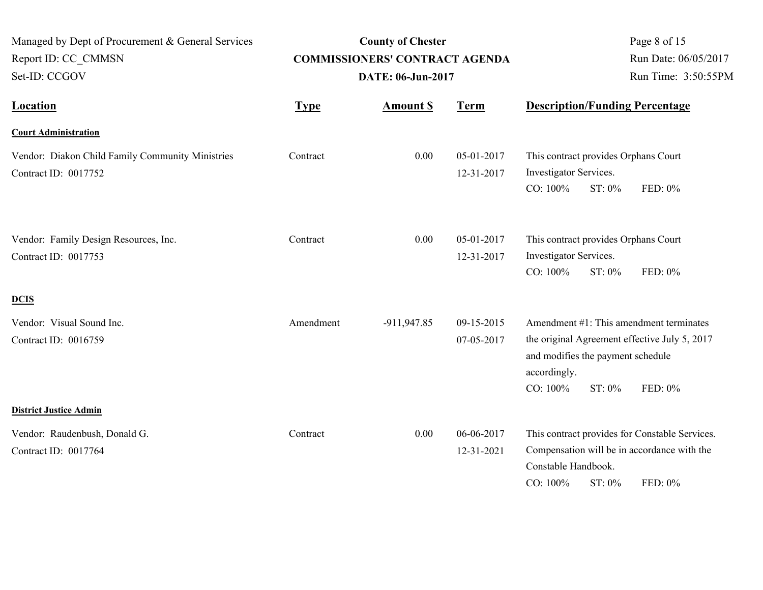| Managed by Dept of Procurement & General Services<br>Report ID: CC CMMSN<br>Set-ID: CCGOV |             | <b>County of Chester</b><br><b>COMMISSIONERS' CONTRACT AGENDA</b><br>DATE: 06-Jun-2017 | Page 8 of 15<br>Run Date: 06/05/2017<br>Run Time: 3:50:55PM |                                                                                                                                                                                |
|-------------------------------------------------------------------------------------------|-------------|----------------------------------------------------------------------------------------|-------------------------------------------------------------|--------------------------------------------------------------------------------------------------------------------------------------------------------------------------------|
| <b>Location</b>                                                                           | <b>Type</b> | <b>Amount S</b>                                                                        | <b>Term</b>                                                 | <b>Description/Funding Percentage</b>                                                                                                                                          |
| <b>Court Administration</b>                                                               |             |                                                                                        |                                                             |                                                                                                                                                                                |
| Vendor: Diakon Child Family Community Ministries<br>Contract ID: 0017752                  | Contract    | 0.00                                                                                   | 05-01-2017<br>12-31-2017                                    | This contract provides Orphans Court<br>Investigator Services.<br>CO: 100%<br>ST: 0%<br>FED: 0%                                                                                |
| Vendor: Family Design Resources, Inc.<br>Contract ID: 0017753                             | Contract    | 0.00                                                                                   | 05-01-2017<br>12-31-2017                                    | This contract provides Orphans Court<br>Investigator Services.<br>CO: 100%<br>ST: 0%<br>FED: 0%                                                                                |
| <b>DCIS</b>                                                                               |             |                                                                                        |                                                             |                                                                                                                                                                                |
| Vendor: Visual Sound Inc.<br>Contract ID: 0016759                                         | Amendment   | $-911,947.85$                                                                          | 09-15-2015<br>07-05-2017                                    | Amendment #1: This amendment terminates<br>the original Agreement effective July 5, 2017<br>and modifies the payment schedule<br>accordingly.<br>CO: 100%<br>ST: 0%<br>FED: 0% |
| <b>District Justice Admin</b>                                                             |             |                                                                                        |                                                             |                                                                                                                                                                                |
| Vendor: Raudenbush, Donald G.<br>Contract ID: 0017764                                     | Contract    | 0.00                                                                                   | 06-06-2017<br>12-31-2021                                    | This contract provides for Constable Services.<br>Compensation will be in accordance with the<br>Constable Handbook.<br>CO: 100%<br>ST: 0%<br>FED: 0%                          |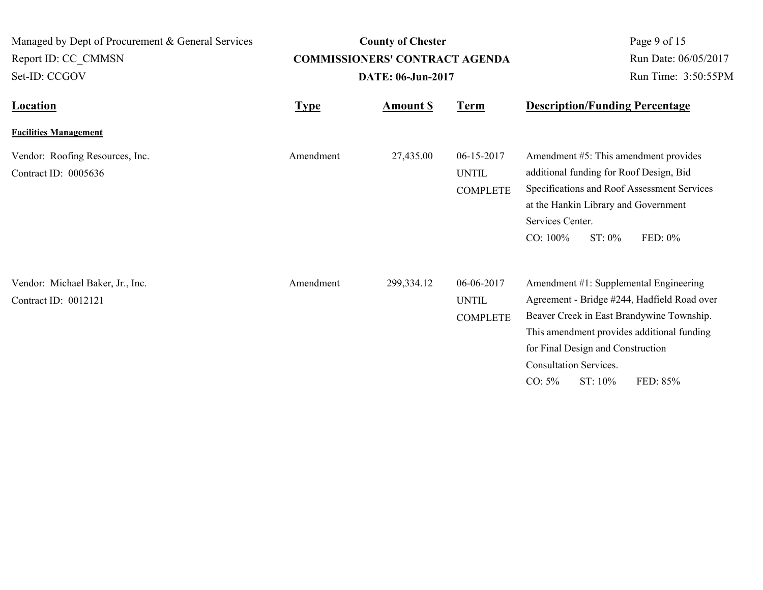| Managed by Dept of Procurement & General Services        |             | <b>County of Chester</b>              | Page 9 of 15<br>Run Date: 06/05/2017<br>Run Time: 3:50:55PM |                                                                                                                                                                                                                                                                                            |
|----------------------------------------------------------|-------------|---------------------------------------|-------------------------------------------------------------|--------------------------------------------------------------------------------------------------------------------------------------------------------------------------------------------------------------------------------------------------------------------------------------------|
| Report ID: CC CMMSN                                      |             | <b>COMMISSIONERS' CONTRACT AGENDA</b> |                                                             |                                                                                                                                                                                                                                                                                            |
| Set-ID: CCGOV                                            |             | DATE: 06-Jun-2017                     |                                                             |                                                                                                                                                                                                                                                                                            |
| <b>Location</b>                                          | <b>Type</b> | <b>Amount S</b>                       | <b>Term</b>                                                 | <b>Description/Funding Percentage</b>                                                                                                                                                                                                                                                      |
| <b>Facilities Management</b>                             |             |                                       |                                                             |                                                                                                                                                                                                                                                                                            |
| Vendor: Roofing Resources, Inc.<br>Contract ID: 0005636  | Amendment   | 27,435.00                             | 06-15-2017<br><b>UNTIL</b><br><b>COMPLETE</b>               | Amendment #5: This amendment provides<br>additional funding for Roof Design, Bid<br>Specifications and Roof Assessment Services<br>at the Hankin Library and Government<br>Services Center.<br>CO: 100%<br>ST: 0%<br>FED: 0%                                                               |
| Vendor: Michael Baker, Jr., Inc.<br>Contract ID: 0012121 | Amendment   | 299,334.12                            | 06-06-2017<br><b>UNTIL</b><br><b>COMPLETE</b>               | Amendment #1: Supplemental Engineering<br>Agreement - Bridge #244, Hadfield Road over<br>Beaver Creek in East Brandywine Township.<br>This amendment provides additional funding<br>for Final Design and Construction<br><b>Consultation Services.</b><br>$CO: 5\%$<br>ST: 10%<br>FED: 85% |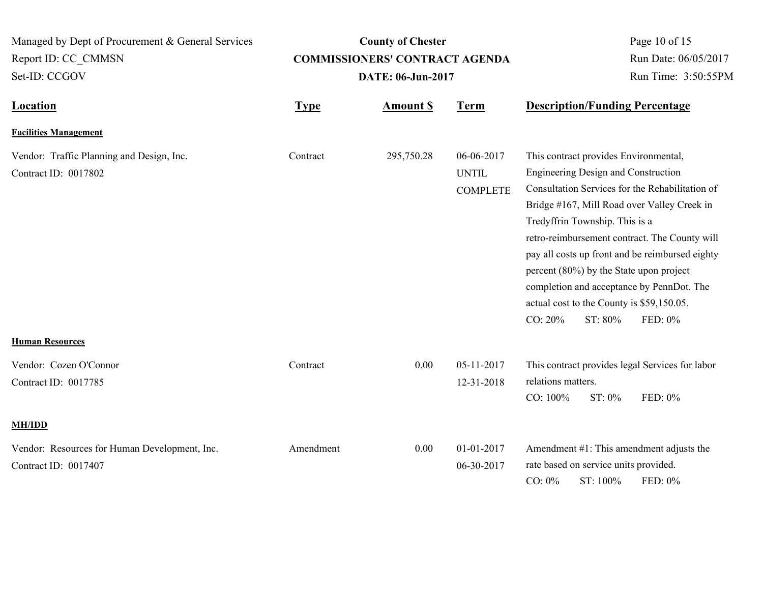| Managed by Dept of Procurement & General Services<br>Report ID: CC CMMSN<br>Set-ID: CCGOV | <b>County of Chester</b><br><b>COMMISSIONERS' CONTRACT AGENDA</b><br>DATE: 06-Jun-2017 |                  |                                               | Page 10 of 15<br>Run Date: 06/05/2017<br>Run Time: 3:50:55PM                                                                                                                                                                                                                                                                                                                                                                                                                               |  |
|-------------------------------------------------------------------------------------------|----------------------------------------------------------------------------------------|------------------|-----------------------------------------------|--------------------------------------------------------------------------------------------------------------------------------------------------------------------------------------------------------------------------------------------------------------------------------------------------------------------------------------------------------------------------------------------------------------------------------------------------------------------------------------------|--|
| <b>Location</b>                                                                           | <b>Type</b>                                                                            | <b>Amount \$</b> | <b>Term</b>                                   | <b>Description/Funding Percentage</b>                                                                                                                                                                                                                                                                                                                                                                                                                                                      |  |
| <b>Facilities Management</b>                                                              |                                                                                        |                  |                                               |                                                                                                                                                                                                                                                                                                                                                                                                                                                                                            |  |
| Vendor: Traffic Planning and Design, Inc.<br>Contract ID: 0017802                         | Contract                                                                               | 295,750.28       | 06-06-2017<br><b>UNTIL</b><br><b>COMPLETE</b> | This contract provides Environmental,<br>Engineering Design and Construction<br>Consultation Services for the Rehabilitation of<br>Bridge #167, Mill Road over Valley Creek in<br>Tredyffrin Township. This is a<br>retro-reimbursement contract. The County will<br>pay all costs up front and be reimbursed eighty<br>percent (80%) by the State upon project<br>completion and acceptance by PennDot. The<br>actual cost to the County is \$59,150.05.<br>CO: 20%<br>ST: 80%<br>FED: 0% |  |
| <b>Human Resources</b>                                                                    |                                                                                        |                  |                                               |                                                                                                                                                                                                                                                                                                                                                                                                                                                                                            |  |
| Vendor: Cozen O'Connor<br>Contract ID: 0017785                                            | Contract                                                                               | 0.00             | $05 - 11 - 2017$<br>12-31-2018                | This contract provides legal Services for labor<br>relations matters.<br>CO: 100%<br>ST: 0%<br>FED: 0%                                                                                                                                                                                                                                                                                                                                                                                     |  |
| <b>MH/IDD</b>                                                                             |                                                                                        |                  |                                               |                                                                                                                                                                                                                                                                                                                                                                                                                                                                                            |  |
| Vendor: Resources for Human Development, Inc.<br>Contract ID: 0017407                     | Amendment                                                                              | 0.00             | 01-01-2017<br>06-30-2017                      | Amendment $#1$ : This amendment adjusts the<br>rate based on service units provided.<br>$CO: 0\%$<br>ST: 100%<br>FED: 0%                                                                                                                                                                                                                                                                                                                                                                   |  |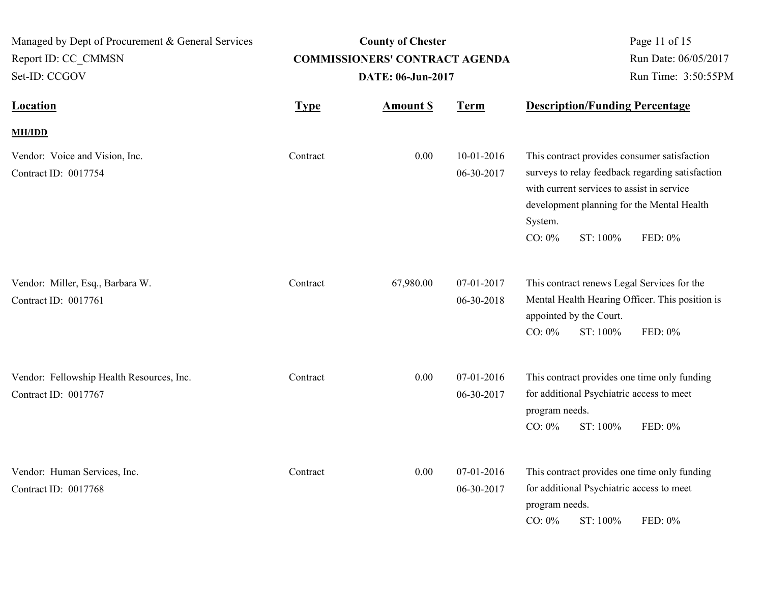| Managed by Dept of Procurement & General Services<br>Report ID: CC CMMSN<br>Set-ID: CCGOV |             | <b>County of Chester</b><br><b>COMMISSIONERS' CONTRACT AGENDA</b><br>DATE: 06-Jun-2017 | Page 11 of 15<br>Run Date: 06/05/2017<br>Run Time: 3:50:55PM |                                                                                                                                                                                                                                             |  |
|-------------------------------------------------------------------------------------------|-------------|----------------------------------------------------------------------------------------|--------------------------------------------------------------|---------------------------------------------------------------------------------------------------------------------------------------------------------------------------------------------------------------------------------------------|--|
| <b>Location</b>                                                                           | <b>Type</b> | <b>Amount \$</b>                                                                       | <b>Term</b>                                                  | <b>Description/Funding Percentage</b>                                                                                                                                                                                                       |  |
| <b>MH/IDD</b>                                                                             |             |                                                                                        |                                                              |                                                                                                                                                                                                                                             |  |
| Vendor: Voice and Vision, Inc.<br>Contract ID: 0017754                                    | Contract    | 0.00                                                                                   | 10-01-2016<br>06-30-2017                                     | This contract provides consumer satisfaction<br>surveys to relay feedback regarding satisfaction<br>with current services to assist in service<br>development planning for the Mental Health<br>System.<br>$CO: 0\%$<br>ST: 100%<br>FED: 0% |  |
| Vendor: Miller, Esq., Barbara W.<br>Contract ID: 0017761                                  | Contract    | 67,980.00                                                                              | 07-01-2017<br>06-30-2018                                     | This contract renews Legal Services for the<br>Mental Health Hearing Officer. This position is<br>appointed by the Court.<br>$CO: 0\%$<br>ST: 100%<br>FED: 0%                                                                               |  |
| Vendor: Fellowship Health Resources, Inc.<br>Contract ID: 0017767                         | Contract    | 0.00                                                                                   | 07-01-2016<br>06-30-2017                                     | This contract provides one time only funding<br>for additional Psychiatric access to meet<br>program needs.<br>$CO: 0\%$<br>ST: 100%<br>FED: 0%                                                                                             |  |
| Vendor: Human Services, Inc.<br>Contract ID: 0017768                                      | Contract    | 0.00                                                                                   | 07-01-2016<br>06-30-2017                                     | This contract provides one time only funding<br>for additional Psychiatric access to meet<br>program needs.<br>$CO: 0\%$<br>ST: 100%<br>FED: 0%                                                                                             |  |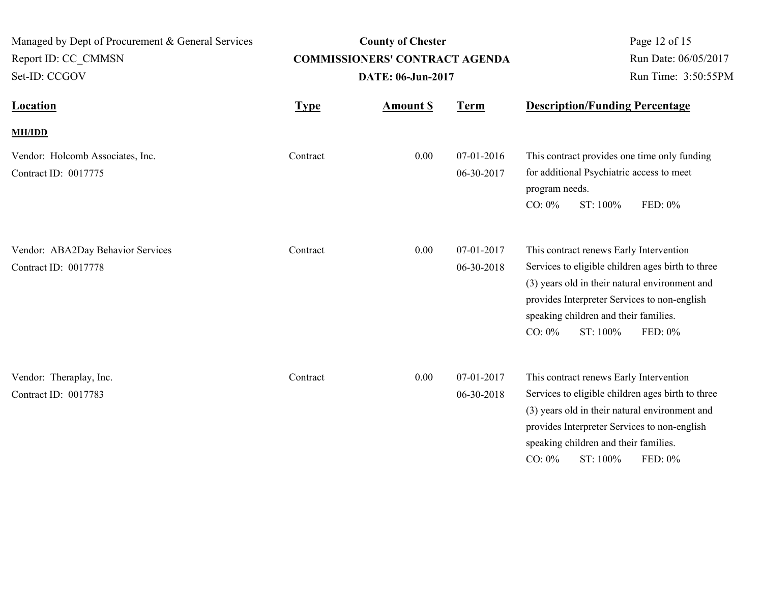| Managed by Dept of Procurement & General Services<br>Report ID: CC CMMSN<br>Set-ID: CCGOV | <b>COMMISSIONERS' CONTRACT AGENDA</b> | Page 12 of 15    |                          | Run Date: 06/05/2017<br>Run Time: 3:50:55PM |                                                   |                                                                                                                                                                                                           |
|-------------------------------------------------------------------------------------------|---------------------------------------|------------------|--------------------------|---------------------------------------------|---------------------------------------------------|-----------------------------------------------------------------------------------------------------------------------------------------------------------------------------------------------------------|
| Location                                                                                  | <b>Type</b>                           | <b>Amount \$</b> | <b>Term</b>              |                                             |                                                   | <b>Description/Funding Percentage</b>                                                                                                                                                                     |
| <b>MH/IDD</b>                                                                             |                                       |                  |                          |                                             |                                                   |                                                                                                                                                                                                           |
| Vendor: Holcomb Associates, Inc.<br>Contract ID: 0017775                                  | Contract                              | 0.00             | 07-01-2016<br>06-30-2017 | program needs.<br>$CO: 0\%$                 | ST: 100%                                          | This contract provides one time only funding<br>for additional Psychiatric access to meet<br>FED: 0%                                                                                                      |
| Vendor: ABA2Day Behavior Services<br>Contract ID: 0017778                                 | Contract                              | 0.00             | 07-01-2017<br>06-30-2018 | $CO: 0\%$                                   | speaking children and their families.<br>ST: 100% | This contract renews Early Intervention<br>Services to eligible children ages birth to three<br>(3) years old in their natural environment and<br>provides Interpreter Services to non-english<br>FED: 0% |
| Vendor: Theraplay, Inc.<br>Contract ID: 0017783                                           | Contract                              | 0.00             | 07-01-2017<br>06-30-2018 | $CO: 0\%$                                   | speaking children and their families.<br>ST: 100% | This contract renews Early Intervention<br>Services to eligible children ages birth to three<br>(3) years old in their natural environment and<br>provides Interpreter Services to non-english<br>FED: 0% |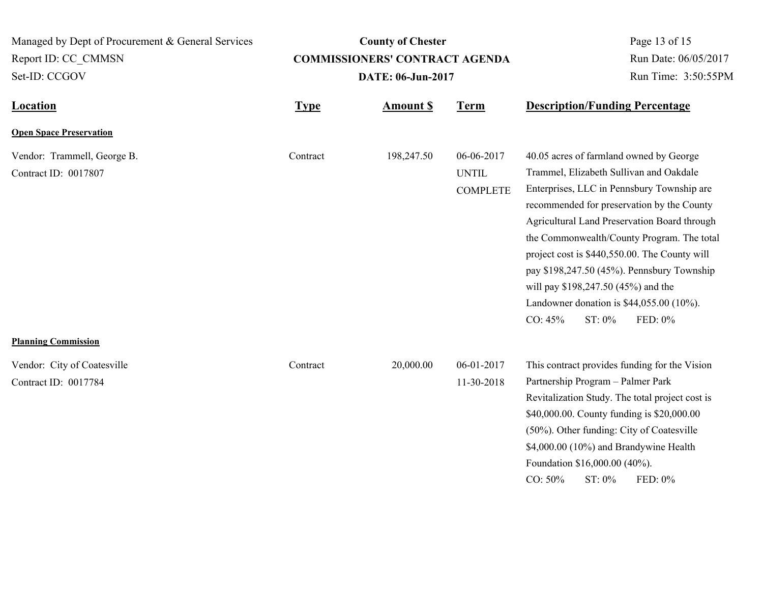| Managed by Dept of Procurement & General Services<br>Report ID: CC CMMSN<br>Set-ID: CCGOV |             | <b>County of Chester</b><br><b>COMMISSIONERS' CONTRACT AGENDA</b><br>DATE: 06-Jun-2017 | Page 13 of 15<br>Run Date: 06/05/2017<br>Run Time: 3:50:55PM |                                                                                                                                                                                                                                                                                                                                                                                                                                                                                                   |
|-------------------------------------------------------------------------------------------|-------------|----------------------------------------------------------------------------------------|--------------------------------------------------------------|---------------------------------------------------------------------------------------------------------------------------------------------------------------------------------------------------------------------------------------------------------------------------------------------------------------------------------------------------------------------------------------------------------------------------------------------------------------------------------------------------|
| <b>Location</b>                                                                           | <b>Type</b> | <b>Amount \$</b>                                                                       | <b>Term</b>                                                  | <b>Description/Funding Percentage</b>                                                                                                                                                                                                                                                                                                                                                                                                                                                             |
| <b>Open Space Preservation</b>                                                            |             |                                                                                        |                                                              |                                                                                                                                                                                                                                                                                                                                                                                                                                                                                                   |
| Vendor: Trammell, George B.<br>Contract ID: 0017807                                       | Contract    | 198,247.50                                                                             | 06-06-2017<br><b>UNTIL</b><br><b>COMPLETE</b>                | 40.05 acres of farmland owned by George<br>Trammel, Elizabeth Sullivan and Oakdale<br>Enterprises, LLC in Pennsbury Township are<br>recommended for preservation by the County<br>Agricultural Land Preservation Board through<br>the Commonwealth/County Program. The total<br>project cost is \$440,550.00. The County will<br>pay \$198,247.50 (45%). Pennsbury Township<br>will pay \$198,247.50 (45%) and the<br>Landowner donation is $$44,055.00 (10\%)$ .<br>FED: 0%<br>CO: 45%<br>ST: 0% |
| <b>Planning Commission</b>                                                                |             |                                                                                        |                                                              |                                                                                                                                                                                                                                                                                                                                                                                                                                                                                                   |
| Vendor: City of Coatesville<br>Contract ID: 0017784                                       | Contract    | 20,000.00                                                                              | 06-01-2017<br>11-30-2018                                     | This contract provides funding for the Vision<br>Partnership Program - Palmer Park<br>Revitalization Study. The total project cost is<br>\$40,000.00. County funding is \$20,000.00<br>(50%). Other funding: City of Coatesville<br>\$4,000.00 (10%) and Brandywine Health<br>Foundation \$16,000.00 (40%).<br>FED: 0%<br>CO: 50%<br>ST: 0%                                                                                                                                                       |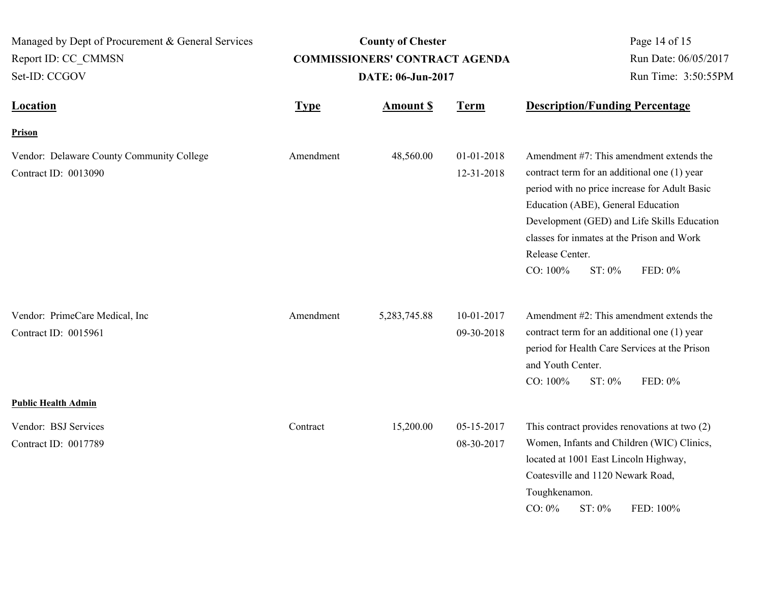| Managed by Dept of Procurement & General Services<br>Report ID: CC CMMSN<br>Set-ID: CCGOV |             | <b>County of Chester</b><br><b>COMMISSIONERS' CONTRACT AGENDA</b><br>DATE: 06-Jun-2017 | Page 14 of 15<br>Run Date: 06/05/2017<br>Run Time: 3:50:55PM |                                                                                                                                                                                                                                                                                                                                  |
|-------------------------------------------------------------------------------------------|-------------|----------------------------------------------------------------------------------------|--------------------------------------------------------------|----------------------------------------------------------------------------------------------------------------------------------------------------------------------------------------------------------------------------------------------------------------------------------------------------------------------------------|
| <b>Location</b>                                                                           | <b>Type</b> | <b>Amount S</b>                                                                        | <b>Term</b>                                                  | <b>Description/Funding Percentage</b>                                                                                                                                                                                                                                                                                            |
| Prison                                                                                    |             |                                                                                        |                                                              |                                                                                                                                                                                                                                                                                                                                  |
| Vendor: Delaware County Community College<br>Contract ID: 0013090                         | Amendment   | 48,560.00                                                                              | $01 - 01 - 2018$<br>12-31-2018                               | Amendment #7: This amendment extends the<br>contract term for an additional one (1) year<br>period with no price increase for Adult Basic<br>Education (ABE), General Education<br>Development (GED) and Life Skills Education<br>classes for inmates at the Prison and Work<br>Release Center.<br>CO: 100%<br>ST: 0%<br>FED: 0% |
| Vendor: PrimeCare Medical, Inc<br>Contract ID: 0015961                                    | Amendment   | 5, 283, 745.88                                                                         | 10-01-2017<br>09-30-2018                                     | Amendment #2: This amendment extends the<br>contract term for an additional one (1) year<br>period for Health Care Services at the Prison<br>and Youth Center.<br>CO: 100%<br>ST: 0%<br>FED: 0%                                                                                                                                  |
| <b>Public Health Admin</b>                                                                |             |                                                                                        |                                                              |                                                                                                                                                                                                                                                                                                                                  |
| Vendor: BSJ Services<br>Contract ID: 0017789                                              | Contract    | 15,200.00                                                                              | 05-15-2017<br>08-30-2017                                     | This contract provides renovations at two (2)<br>Women, Infants and Children (WIC) Clinics,<br>located at 1001 East Lincoln Highway,<br>Coatesville and 1120 Newark Road,<br>Toughkenamon.<br>ST: 0%<br>$CO: 0\%$<br>FED: 100%                                                                                                   |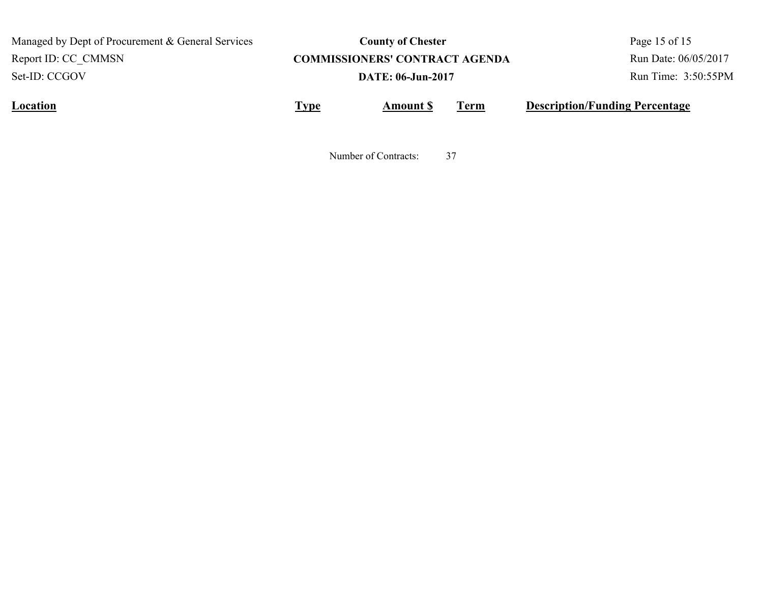**Location Type Type** *Amount \$* Term **Description/Funding Percentage County of Chester COMMISSIONERS' CONTRACT AGENDA** Managed by Dept of Procurement & General Services Set-ID: CCGOV Report ID: CC\_CMMSN Page 15 of 15 **Amount \$ DATE: 06-Jun-2017** Run Date: 06/05/2017 Run Time: 3:50:55PM

Number of Contracts: 37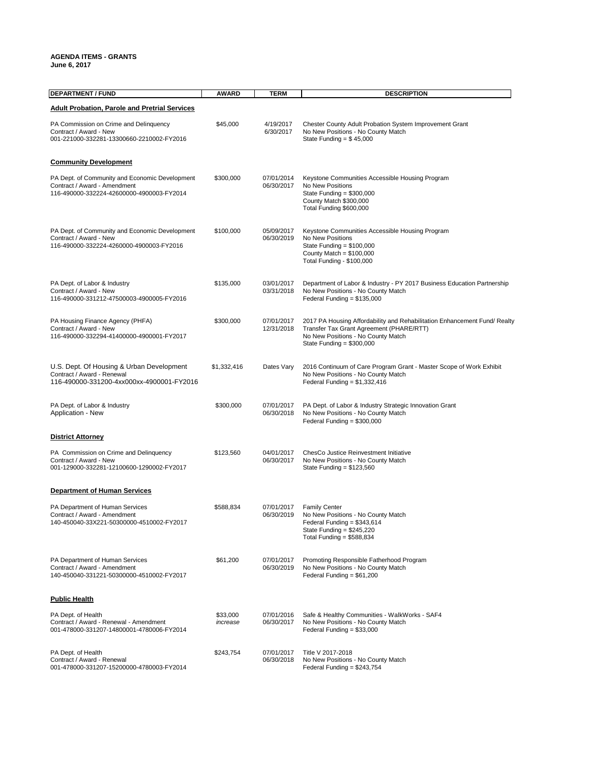#### **AGENDA ITEMS - GRANTS June 6, 2017**

| <b>DEPARTMENT / FUND</b>                                                                                                    | <b>AWARD</b>         | TERM                     | <b>DESCRIPTION</b>                                                                                                                                                                        |
|-----------------------------------------------------------------------------------------------------------------------------|----------------------|--------------------------|-------------------------------------------------------------------------------------------------------------------------------------------------------------------------------------------|
| <b>Adult Probation, Parole and Pretrial Services</b>                                                                        |                      |                          |                                                                                                                                                                                           |
| PA Commission on Crime and Delinquency<br>Contract / Award - New<br>001-221000-332281-13300660-2210002-FY2016               | \$45,000             | 4/19/2017<br>6/30/2017   | Chester County Adult Probation System Improvement Grant<br>No New Positions - No County Match<br>State Funding = $$45,000$                                                                |
| <b>Community Development</b>                                                                                                |                      |                          |                                                                                                                                                                                           |
| PA Dept. of Community and Economic Development<br>Contract / Award - Amendment<br>116-490000-332224-42600000-4900003-FY2014 | \$300,000            | 07/01/2014<br>06/30/2017 | Keystone Communities Accessible Housing Program<br>No New Positions<br>State Funding = $$300,000$<br>County Match \$300,000<br>Total Funding \$600,000                                    |
| PA Dept. of Community and Economic Development<br>Contract / Award - New<br>116-490000-332224-4260000-4900003-FY2016        | \$100,000            | 05/09/2017<br>06/30/2019 | Keystone Communities Accessible Housing Program<br>No New Positions<br>State Funding = $$100,000$<br>County Match = $$100,000$<br>Total Funding - \$100,000                               |
| PA Dept. of Labor & Industry<br>Contract / Award - New<br>116-490000-331212-47500003-4900005-FY2016                         | \$135,000            | 03/01/2017<br>03/31/2018 | Department of Labor & Industry - PY 2017 Business Education Partnership<br>No New Positions - No County Match<br>Federal Funding = $$135,000$                                             |
| PA Housing Finance Agency (PHFA)<br>Contract / Award - New<br>116-490000-332294-41400000-4900001-FY2017                     | \$300,000            | 07/01/2017<br>12/31/2018 | 2017 PA Housing Affordability and Rehabilitation Enhancement Fund/ Realty<br>Transfer Tax Grant Agreement (PHARE/RTT)<br>No New Positions - No County Match<br>State Funding = $$300,000$ |
| U.S. Dept. Of Housing & Urban Development<br>Contract / Award - Renewal<br>116-490000-331200-4xx000xx-4900001-FY2016        | \$1,332,416          | Dates Vary               | 2016 Continuum of Care Program Grant - Master Scope of Work Exhibit<br>No New Positions - No County Match<br>Federal Funding = $$1,332,416$                                               |
| PA Dept. of Labor & Industry<br>Application - New                                                                           | \$300,000            | 07/01/2017<br>06/30/2018 | PA Dept. of Labor & Industry Strategic Innovation Grant<br>No New Positions - No County Match<br>Federal Funding = $$300,000$                                                             |
| District Attorney                                                                                                           |                      |                          |                                                                                                                                                                                           |
| PA Commission on Crime and Delinguency<br>Contract / Award - New<br>001-129000-332281-12100600-1290002-FY2017               | \$123,560            | 04/01/2017<br>06/30/2017 | ChesCo Justice Reinvestment Initiative<br>No New Positions - No County Match<br>State Funding = $$123,560$                                                                                |
| <b>Department of Human Services</b>                                                                                         |                      |                          |                                                                                                                                                                                           |
| PA Department of Human Services<br>Contract / Award - Amendment<br>140-450040-33X221-50300000-4510002-FY2017                | \$588,834            | 07/01/2017<br>06/30/2019 | <b>Family Center</b><br>No New Positions - No County Match<br>Federal Funding = $$343,614$<br>State Funding = $$245,220$<br>Total Funding = $$588,834$                                    |
| PA Department of Human Services<br>Contract / Award - Amendment<br>140-450040-331221-50300000-4510002-FY2017                | \$61,200             | 07/01/2017<br>06/30/2019 | Promoting Responsible Fatherhood Program<br>No New Positions - No County Match<br>Federal Funding = $$61,200$                                                                             |
| <b>Public Health</b>                                                                                                        |                      |                          |                                                                                                                                                                                           |
| PA Dept. of Health<br>Contract / Award - Renewal - Amendment<br>001-478000-331207-14800001-4780006-FY2014                   | \$33,000<br>increase | 07/01/2016<br>06/30/2017 | Safe & Healthy Communities - WalkWorks - SAF4<br>No New Positions - No County Match<br>Federal Funding = $$33,000$                                                                        |
| PA Dept. of Health<br>Contract / Award - Renewal<br>001-478000-331207-15200000-4780003-FY2014                               | \$243,754            | 07/01/2017<br>06/30/2018 | Title V 2017-2018<br>No New Positions - No County Match<br>Federal Funding = $$243,754$                                                                                                   |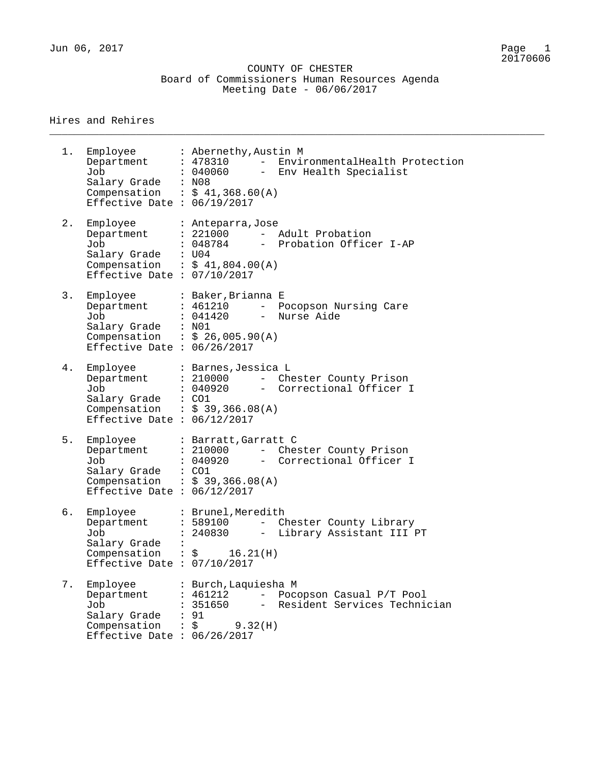Jun 06, 2017 Page 1

 COUNTY OF CHESTER Board of Commissioners Human Resources Agenda Meeting Date - 06/06/2017

\_\_\_\_\_\_\_\_\_\_\_\_\_\_\_\_\_\_\_\_\_\_\_\_\_\_\_\_\_\_\_\_\_\_\_\_\_\_\_\_\_\_\_\_\_\_\_\_\_\_\_\_\_\_\_\_\_\_\_\_\_\_\_\_\_\_\_\_\_\_\_\_\_\_\_\_\_\_\_\_

# Hires and Rehires

1. Employee : Abernethy,Austin M Department : 478310 - EnvironmentalHealth Protection Job : 040060 - Env Health Specialist Salary Grade : N08 Compensation :  $$41,368.60(A)$ Effective Date : 06/19/2017 2. Employee : Anteparra, Jose Department : 221000 - Adult Probation Job : 048784 - Probation Officer I-AP Salary Grade : U04 Compensation :  $$41,804.00(A)$ Effective Date : 07/10/2017 3. Employee : Baker,Brianna E Department : 461210 - Pocopson Nursing Care Job : 041420 - Nurse Aide Salary Grade : N01 Compensation :  $\frac{26}{9}$  26,005.90(A) Effective Date : 06/26/2017 4. Employee : Barnes,Jessica L Department : 210000 - Chester County Prison Job : 040920 - Correctional Officer I Salary Grade : CO1  $Comparing 22222$  :  $$ 39,366.08(A)$ Effective Date : 06/12/2017 5. Employee : Barratt,Garratt C Department : 210000 - Chester County Prison Job : 040920 - Correctional Officer I Salary Grade : CO1 Compensation :  $$39,366.08(A)$ Effective Date : 06/12/2017 6. Employee : Brunel,Meredith Department : 589100 - Chester County Library Job : 240830 - Library Assistant III PT Salary Grade :  $COMP$   $:$   $\$$   $16.21(H)$ Effective Date : 07/10/2017 7. Employee : Burch, Laquiesha M<br>Department : 461212 - Poc Department : 461212 - Pocopson Casual P/T Pool Job : 351650 - Resident Services Technician Salary Grade : 91 Compensation :  $\zeta$  9.32(H) Effective Date : 06/26/2017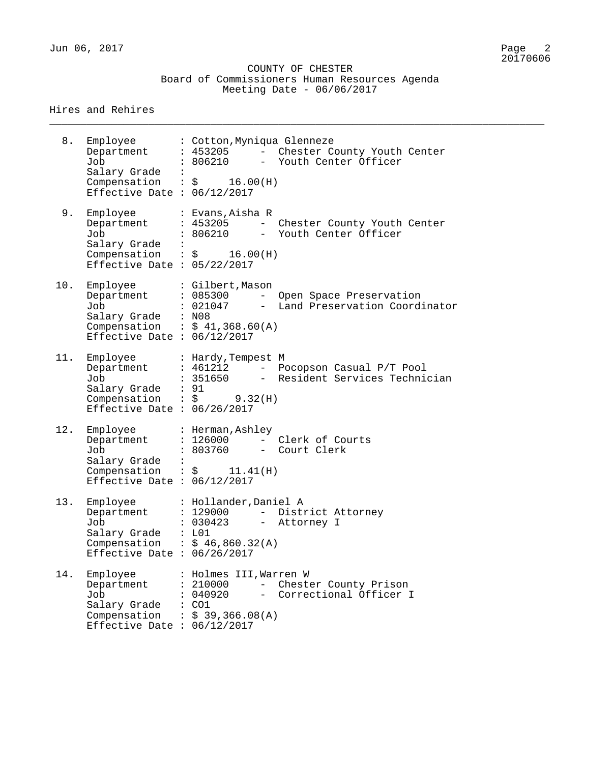### COUNTY OF CHESTER Board of Commissioners Human Resources Agenda Meeting Date - 06/06/2017

\_\_\_\_\_\_\_\_\_\_\_\_\_\_\_\_\_\_\_\_\_\_\_\_\_\_\_\_\_\_\_\_\_\_\_\_\_\_\_\_\_\_\_\_\_\_\_\_\_\_\_\_\_\_\_\_\_\_\_\_\_\_\_\_\_\_\_\_\_\_\_\_\_\_\_\_\_\_\_\_

| 8.  | Employee<br>Department<br>Job<br>Salary Grade :<br>Effective Date : $06/12/2017$               | : Cotton, Myniqua Glenneze<br>: 453205 - Chester County Youth Center<br>: 806210<br>- Youth Center Officer<br>Compensation : $\frac{1}{5}$ 16.00(H)                          |
|-----|------------------------------------------------------------------------------------------------|------------------------------------------------------------------------------------------------------------------------------------------------------------------------------|
| 9.  | Employee<br>Department<br>Job<br>Salary Grade :<br>Effective Date : $05/22/2017$               | : Evans,Aisha R<br>: 453205<br>- Chester County Youth Center<br>: 806210<br>- Youth Center Officer<br>Compensation : $\frac{1}{5}$ 16.00(H)                                  |
| 10. | Employee<br>Department : 085300<br>Job<br>Salary Grade : N08<br>Effective Date : $06/12/2017$  | : Gilbert, Mason<br>- Open Space Preservation<br>: 021047 - Land Preservation Coordinator<br>Compensation : $$41,368.60(A)$                                                  |
| 11. | Employee<br>Job<br>Salary Grade : 91<br>Effective Date : $06/26/2017$                          | : Hardy, Tempest M<br>Department : 461212 - Pocopson Casual P/T Pool<br>- Resident Services Technician<br>: 351650<br>Compensation : $\frac{1}{2}$ 9.32(H)                   |
| 12. | Employee<br>Department<br>Job<br>Salary Grade :<br>Effective Date : $06/12/2017$               | : Herman,Ashley<br>: 126000<br>- Clerk of Courts<br>: 803760 - Court Clerk<br>Compensation : $\frac{1}{2}$ 11.41(H)                                                          |
| 13. | Employee<br>Department<br>Job<br>Salary Grade<br>Effective Date : $06/26/2017$                 | : Hollander, Daniel A<br>: 129000<br>- District Attorney<br>030423<br>Attorney I<br>L01<br>Compensation : $$46,860.32(A)$                                                    |
| 14. | Employee<br>Department<br>Job<br>Salary Grade<br>Compensation<br>Effective Date : $06/12/2017$ | : Holmes III, Warren W<br>: 210000<br>Chester County Prison<br>$\overline{\phantom{a}}$<br>040920<br>Correctional Officer I<br>$ -$<br>: CO1<br>$\therefore$ \$ 39,366.08(A) |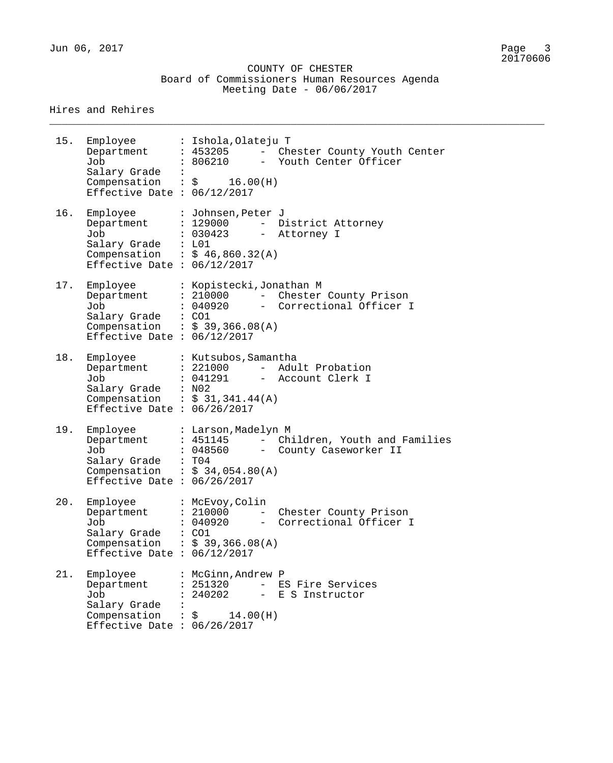|  |                             | COUNTY OF CHESTER |                                               |  |
|--|-----------------------------|-------------------|-----------------------------------------------|--|
|  |                             |                   | Board of Commissioners Human Resources Agenda |  |
|  | Meeting Date - $06/06/2017$ |                   |                                               |  |

\_\_\_\_\_\_\_\_\_\_\_\_\_\_\_\_\_\_\_\_\_\_\_\_\_\_\_\_\_\_\_\_\_\_\_\_\_\_\_\_\_\_\_\_\_\_\_\_\_\_\_\_\_\_\_\_\_\_\_\_\_\_\_\_\_\_\_\_\_\_\_\_\_\_\_\_\_\_\_\_

| 15. | Employee<br>Department<br>Job<br>Salary Grade<br>Compensation<br>Effective Date : $06/12/2017$                   | : Ishola, Olateju T<br>: 453205<br>- Chester County Youth Center<br>- Youth Center Officer<br>: 806210<br>$\therefore$ \$<br>16.00(H) |
|-----|------------------------------------------------------------------------------------------------------------------|---------------------------------------------------------------------------------------------------------------------------------------|
| 16. | Employee<br>Department<br>Job<br>Salary Grade<br>Compensation : $$46,860.32(A)$<br>Effective Date : $06/12/2017$ | : Johnsen, Peter J<br>: 129000<br>- District Attorney<br>- Attorney I<br>: 030423<br>: L01                                            |
| 17. | Employee<br>Department<br>Job<br>Salary Grade<br>Compensation : $$39,366.08(A)$<br>Effective Date : $06/12/2017$ | : Kopistecki, Jonathan M<br>: 210000<br>- Chester County Prison<br>: 040920<br>- Correctional Officer I<br>: CO1                      |
| 18. | Employee<br>Department<br>Job<br>Salary Grade<br>Compensation : $$31,341.44(A)$<br>Effective Date : $06/26/2017$ | : Kutsubos, Samantha<br>: 221000<br>$ \,$<br>Adult Probation<br>: 041291<br>$\frac{1}{2}$<br>Account Clerk I<br>: N02                 |
| 19. | Employee<br>Department<br>Job<br>Salary Grade<br>Compensation : $$34,054.80(A)$<br>Effective Date : $06/26/2017$ | : Larson, Madelyn M<br>- Children, Youth and Families<br>: 451145<br>: 048560 - County Caseworker II<br>: T04                         |
| 20. | Employee<br>Department<br>Job<br>Salary Grade<br>Compensation : $$39,366.08(A)$<br>Effective Date : $06/12/2017$ | : McEvoy, Colin<br>: 210000<br>Chester County Prison<br>$-$<br>040920<br>- Correctional Officer I<br>: CO1                            |
| 21. | Employee<br>Department<br>Job<br>Salary Grade<br>Compensation<br>Effective Date : $06/26/2017$                   | : McGinn, Andrew P<br>: 251320<br>$-$<br>ES Fire Services<br>240202<br>- E S Instructor<br>$\therefore$ \$<br>14.00(H)                |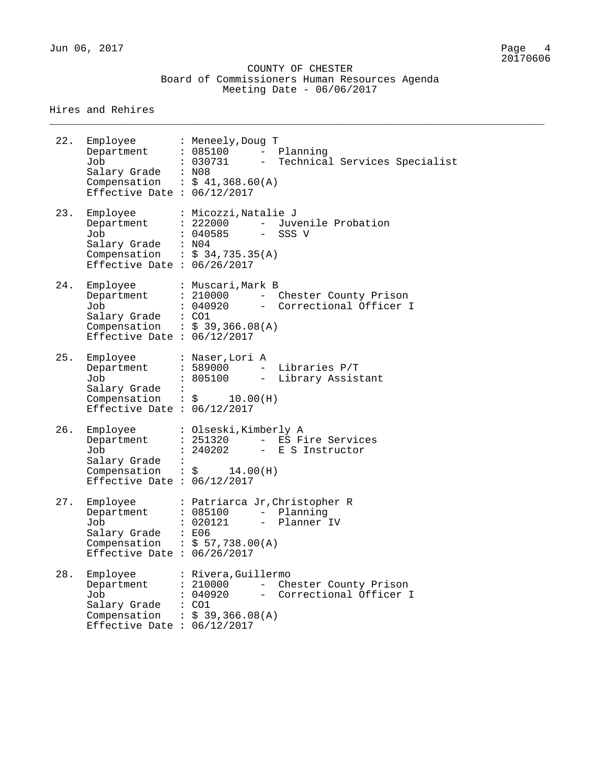### COUNTY OF CHESTER Board of Commissioners Human Resources Agenda Meeting Date - 06/06/2017

\_\_\_\_\_\_\_\_\_\_\_\_\_\_\_\_\_\_\_\_\_\_\_\_\_\_\_\_\_\_\_\_\_\_\_\_\_\_\_\_\_\_\_\_\_\_\_\_\_\_\_\_\_\_\_\_\_\_\_\_\_\_\_\_\_\_\_\_\_\_\_\_\_\_\_\_\_\_\_\_

| 22. | Employee<br>Job<br>Salary Grade : N08<br>Effective Date : $06/12/2017$                         | : Meneely, Doug T<br>Department : 085100 - Planning<br>: 030731<br>- Technical Services Specialist<br>Compensation : $$41,368.60(A)$             |
|-----|------------------------------------------------------------------------------------------------|--------------------------------------------------------------------------------------------------------------------------------------------------|
| 23. | Job<br>Salary Grade : N04<br>Effective Date : $06/26/2017$                                     | Employee : Micozzi, Natalie J<br>Department : 222000 - Juvenile Probation<br>: 040585<br>- SSS V<br>Compensation : $$34,735.35(A)$               |
| 24. | Job<br>Salary Grade : CO1<br>Effective Date : $06/12/2017$                                     | Employee : Muscari, Mark B<br>Department : 210000 - Chester County Prison<br>: 040920 - Correctional Officer I<br>Compensation : $$39,366.08(A)$ |
| 25. | Employee<br>Department<br>Job<br>Salary Grade :<br>Effective Date : $06/12/2017$               | : Naser,Lori A<br>: 589000 - Libraries P/T<br>: 805100 - Library Assistant<br>Compensation : $\sin$ 10.00(H)                                     |
| 26. | Employee<br>Department<br>Job<br>Salary Grade :<br>Effective Date : $06/12/2017$               | : Olseski, Kimberly A<br>: 251320 - ES Fire Services<br>: 240202 - E S Instructor<br>Compensation : $\frac{1}{2}$ 14.00(H)                       |
| 27. | Employee<br>Department<br>Job<br>Salary Grade<br>Compensation<br>Effective Date : $06/26/2017$ | : Patriarca Jr, Christopher R<br>: 085100<br>- Planning<br>: 020121<br>Planner IV<br>E06<br>$\div$ \$ 57,738.00(A)                               |
| 28. | Employee<br>Department<br>Job<br>Salary Grade<br>Compensation<br>Effective Date : $06/12/2017$ | : Rivera, Guillermo<br>Chester County Prison<br>: 210000<br>040920<br>Correctional Officer I<br>CO1<br>$\therefore$ \$ 39,366.08(A)              |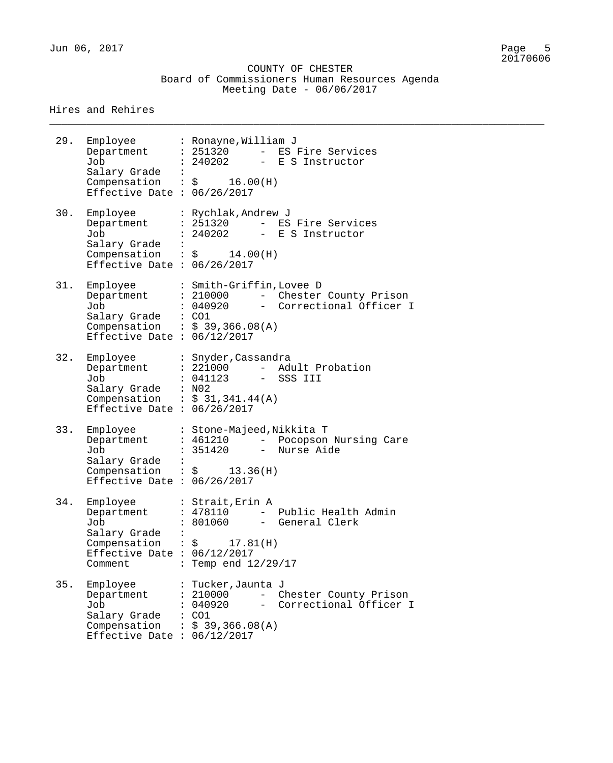#### COUNTY OF CHESTER Board of Commissioners Human Resources Agenda Meeting Date - 06/06/2017

\_\_\_\_\_\_\_\_\_\_\_\_\_\_\_\_\_\_\_\_\_\_\_\_\_\_\_\_\_\_\_\_\_\_\_\_\_\_\_\_\_\_\_\_\_\_\_\_\_\_\_\_\_\_\_\_\_\_\_\_\_\_\_\_\_\_\_\_\_\_\_\_\_\_\_\_\_\_\_\_

| 29. | Employee<br>Department<br>Job<br>Salary Grade<br>Compensation : $\sin$ 16.00(H)<br>Effective Date : $06/26/2017$                   |                      | : Ronayne,William J<br>: 251320 - ES Fire Services<br>: 240202<br>- E S Instructor                     |
|-----|------------------------------------------------------------------------------------------------------------------------------------|----------------------|--------------------------------------------------------------------------------------------------------|
| 30. | Employee<br>Department<br>Job<br>Salary Grade<br>Compensation : $\sin 14.00(H)$<br>Effective Date : $06/26/2017$                   | $\ddot{\cdot}$       | : Rychlak, Andrew J<br>: 251320 - ES Fire Services<br>240202 - E S Instructor                          |
| 31. | Employee<br>Department<br>Job<br>Salary Grade : CO1<br>Compensation : $$39,366.08(A)$<br>Effective Date : $06/12/2017$             |                      | : Smith-Griffin, Lovee D<br>: 210000 - Chester County Prison<br>: 040920 - Correctional Officer I      |
| 32. | Employee<br>Department<br>Job<br>Salary Grade : N02<br>Compensation : $$31,341.44(A)$<br>Effective Date : $06/26/2017$             |                      | : Snyder, Cassandra<br>: 221000 - Adult Probation<br>: 041123<br>- SSS III                             |
| 33. | Employee<br>Department<br>Job<br>Salary Grade<br>Compensation : $\zeta$ 13.36(H)<br>Effective Date : $06/26/2017$                  | $\ddot{\phantom{a}}$ | : Stone-Majeed, Nikkita T<br>: 461210 - Pocopson Nursing Care<br>$\frac{1}{2}$<br>351420<br>Nurse Aide |
| 34. | Employee<br>Department<br>Job<br>Salary Grade<br>Compensation : $\frac{1}{2}$ 17.81(H)<br>Effective Date : $06/12/2017$<br>Comment |                      | : Strait, Erin A<br>: 478110 - Public Health Admin<br>: 801060 - General Clerk<br>: Temp end 12/29/17  |
| 35. | Employee<br>Department<br>Job<br>Salary Grade : CO1<br>Compensation : $$39,366.08(A)$<br>Effective Date : $06/12/2017$             |                      | : Tucker,Jaunta J<br>: 210000<br>- Chester County Prison<br>: 040920 - Correctional Officer I          |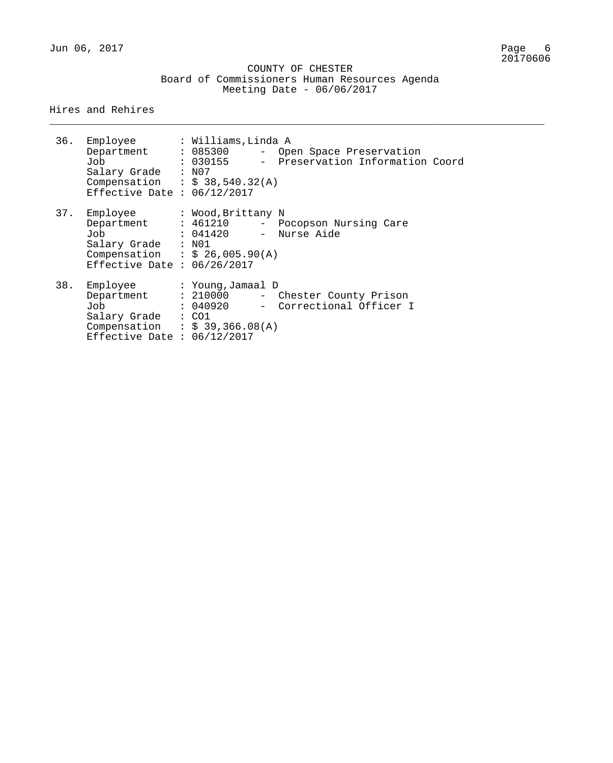|  |                             | COUNTY OF CHESTER |                                               |  |
|--|-----------------------------|-------------------|-----------------------------------------------|--|
|  |                             |                   | Board of Commissioners Human Resources Agenda |  |
|  | Meeting Date - $06/06/2017$ |                   |                                               |  |

\_\_\_\_\_\_\_\_\_\_\_\_\_\_\_\_\_\_\_\_\_\_\_\_\_\_\_\_\_\_\_\_\_\_\_\_\_\_\_\_\_\_\_\_\_\_\_\_\_\_\_\_\_\_\_\_\_\_\_\_\_\_\_\_\_\_\_\_\_\_\_\_\_\_\_\_\_\_\_\_

| 36. | Employee<br>Department : 085300<br>Job<br>Salary Grade<br>Compensation : $$38,540.32(A)$<br>Effective Date : $06/12/2017$            | : Williams,Linda A<br>- Open Space Preservation<br>. 030155<br>- Preservation Information Coord<br>: N07 |
|-----|--------------------------------------------------------------------------------------------------------------------------------------|----------------------------------------------------------------------------------------------------------|
|     | 37. Employee<br>Department : 461210<br>Job<br>Salary Grade : N01<br>Compensation : $$ 26,005.90(A)$<br>Effective Date : $06/26/2017$ | : Wood,Brittany N<br>- Pocopson Nursing Care<br>: 041420 - Nurse Aide                                    |
| 38. | Employee<br>Department : 210000<br>Job<br>Salary Grade<br>Compensation : $$39,366.08(A)$<br>Effective Date : $06/12/2017$            | : Young, Jamaal D<br>- Chester County Prison<br>: 040920 - Correctional Officer I<br>$\colon$ CO1        |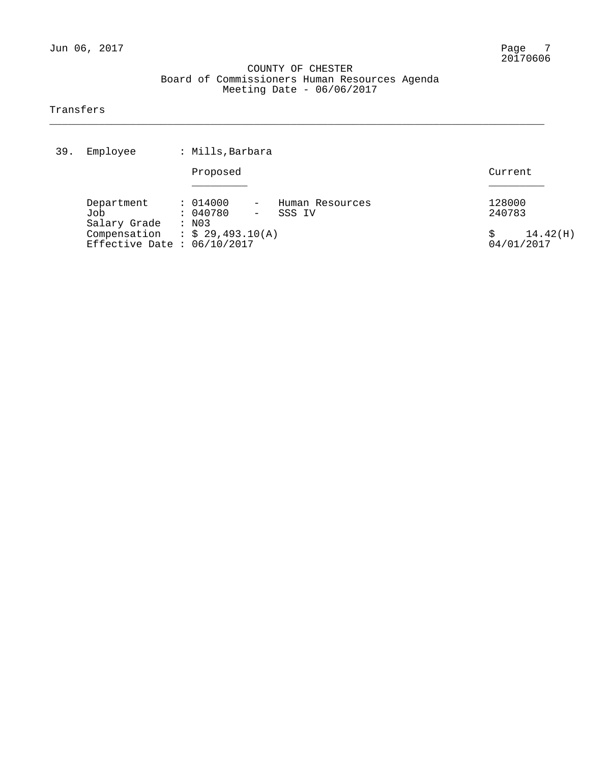\_\_\_\_\_\_\_\_\_\_\_\_\_\_\_\_\_\_\_\_\_\_\_\_\_\_\_\_\_\_\_\_\_\_\_\_\_\_\_\_\_\_\_\_\_\_\_\_\_\_\_\_\_\_\_\_\_\_\_\_\_\_\_\_\_\_\_\_\_\_\_\_\_\_\_\_\_\_\_\_

# Transfers

| 39. | Employee                                                      |  | : Mills, Barbara                      |  |                           |  |                        |  |
|-----|---------------------------------------------------------------|--|---------------------------------------|--|---------------------------|--|------------------------|--|
|     |                                                               |  | Proposed                              |  |                           |  | Current                |  |
|     | Department<br>Job                                             |  | : 014000<br>: 040780<br>$ \,$         |  | Human Resources<br>SSS IV |  | 128000<br>240783       |  |
|     | Salary Grade<br>Compensation<br>Effective Date : $06/10/2017$ |  | : N03<br>$\therefore$ \$ 29,493.10(A) |  |                           |  | 14.42(H)<br>04/01/2017 |  |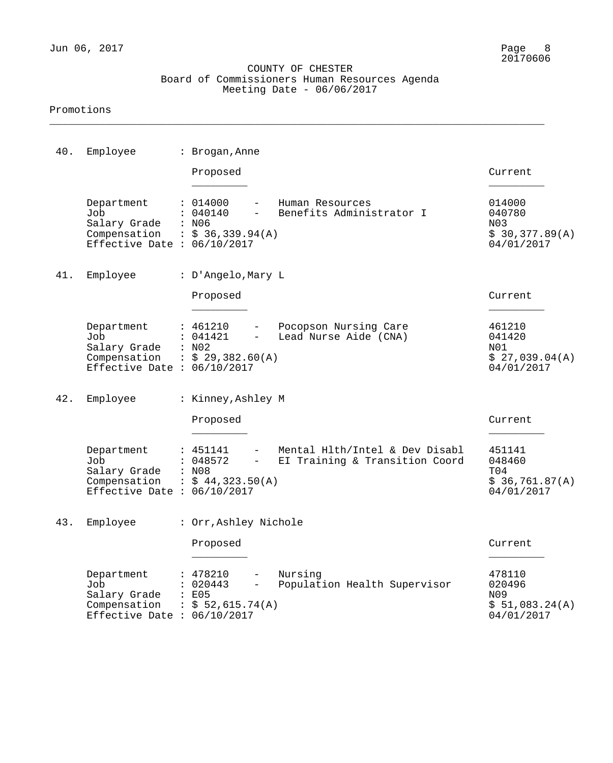\_\_\_\_\_\_\_\_\_\_\_\_\_\_\_\_\_\_\_\_\_\_\_\_\_\_\_\_\_\_\_\_\_\_\_\_\_\_\_\_\_\_\_\_\_\_\_\_\_\_\_\_\_\_\_\_\_\_\_\_\_\_\_\_\_\_\_\_\_\_\_\_\_\_\_\_\_\_\_\_

#### Promotions

| 40. | Employee                                                                                                   | : Brogan, Anne                                       |                                                                    |                                                         |
|-----|------------------------------------------------------------------------------------------------------------|------------------------------------------------------|--------------------------------------------------------------------|---------------------------------------------------------|
|     |                                                                                                            | Proposed                                             |                                                                    | Current                                                 |
|     | Department<br>Job<br>Salary Grade : N06<br>Compensation : $$36,339.94(A)$<br>Effective Date : $06/10/2017$ | : 014000<br>: 040140                                 | Human Resources<br>Benefits Administrator I                        | 014000<br>040780<br>N03<br>\$30,377.89(A)<br>04/01/2017 |
| 41. | Employee                                                                                                   | : D'Angelo, Mary L                                   |                                                                    |                                                         |
|     |                                                                                                            | Proposed                                             |                                                                    | Current                                                 |
|     | Department<br>Job<br>Salary Grade : N02<br>Compensation : $$29,382.60(A)$<br>Effective Date : $06/10/2017$ | : 461210<br>$ -$<br>: 041421                         | Pocopson Nursing Care<br>Lead Nurse Aide (CNA)                     | 461210<br>041420<br>N01<br>\$27,039.04(A)<br>04/01/2017 |
| 42. | Employee                                                                                                   | : Kinney, Ashley M                                   |                                                                    |                                                         |
|     |                                                                                                            | Proposed                                             |                                                                    | Current                                                 |
|     | Department<br>Job<br>Salary Grade : N08<br>Compensation : $$44,323.50(A)$<br>Effective Date : $06/10/2017$ | : 451141<br>: 048572                                 | Mental Hlth/Intel & Dev Disabl<br>- EI Training & Transition Coord | 451141<br>048460<br>T04<br>\$36,761.87(A)<br>04/01/2017 |
| 43. | Employee                                                                                                   | : Orr, Ashley Nichole                                |                                                                    |                                                         |
|     |                                                                                                            | Proposed                                             |                                                                    | Current                                                 |
|     | Department<br>Job<br>Salary Grade<br>Compensation<br>Effective Date : $06/10/2017$                         | : 478210<br>: 020443<br>: E05<br>$:$ \$ 52,615.74(A) | Nursing<br>Population Health Supervisor                            | 478110<br>020496<br>N09<br>\$51,083.24(A)<br>04/01/2017 |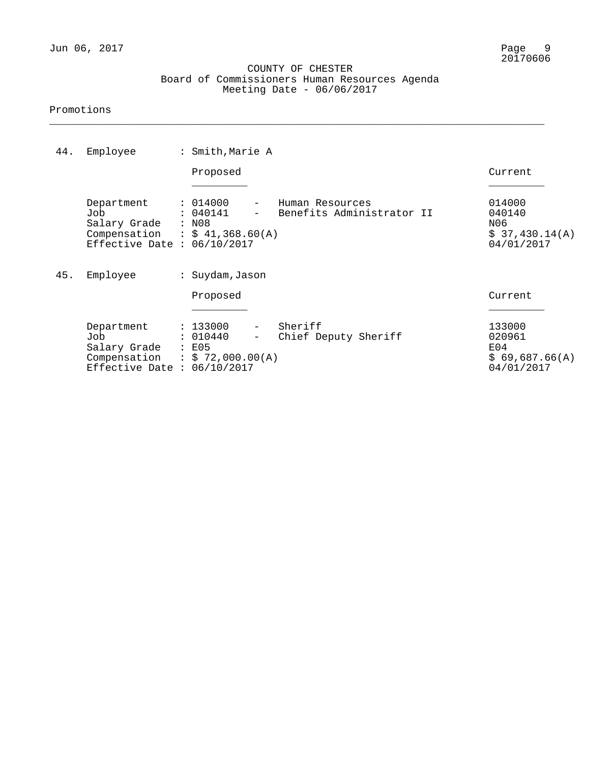\_\_\_\_\_\_\_\_\_\_\_\_\_\_\_\_\_\_\_\_\_\_\_\_\_\_\_\_\_\_\_\_\_\_\_\_\_\_\_\_\_\_\_\_\_\_\_\_\_\_\_\_\_\_\_\_\_\_\_\_\_\_\_\_\_\_\_\_\_\_\_\_\_\_\_\_\_\_\_\_

#### Promotions

| 44. | Employee                                                                                              | : Smith, Marie A                              |                                              |                                                         |  |  |  |  |
|-----|-------------------------------------------------------------------------------------------------------|-----------------------------------------------|----------------------------------------------|---------------------------------------------------------|--|--|--|--|
|     |                                                                                                       | Proposed                                      |                                              | Current                                                 |  |  |  |  |
|     | Department<br>Job<br>Salary Grade<br>Compensation : $$41,368.60(A)$<br>Effective Date : $06/10/2017$  | : 014000<br>$-$<br>: 040141<br>: N08          | Human Resources<br>Benefits Administrator II | 014000<br>040140<br>N06<br>\$37,430.14(A)<br>04/01/2017 |  |  |  |  |
| 45. | Employee                                                                                              | : Suydam, Jason                               |                                              |                                                         |  |  |  |  |
|     |                                                                                                       | Proposed                                      |                                              | Current                                                 |  |  |  |  |
|     | Department<br>Job<br>Salary Grade<br>Compensation : $$ 72,000.00(A)$<br>Effective Date : $06/10/2017$ | : 133000<br>$ \,$<br>: 010440<br>$-$<br>: E05 | Sheriff<br>Chief Deputy Sheriff              | 133000<br>020961<br>E04<br>\$69,687.66(A)<br>04/01/2017 |  |  |  |  |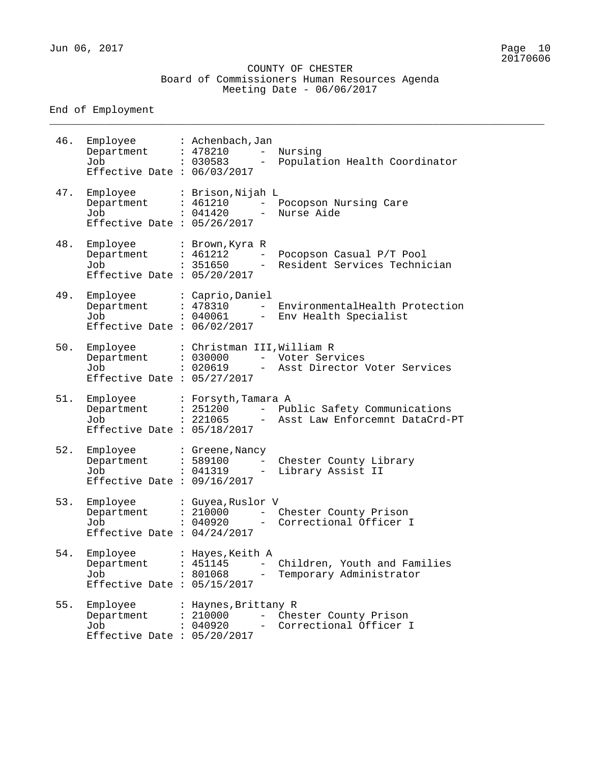### COUNTY OF CHESTER Board of Commissioners Human Resources Agenda Meeting Date - 06/06/2017

\_\_\_\_\_\_\_\_\_\_\_\_\_\_\_\_\_\_\_\_\_\_\_\_\_\_\_\_\_\_\_\_\_\_\_\_\_\_\_\_\_\_\_\_\_\_\_\_\_\_\_\_\_\_\_\_\_\_\_\_\_\_\_\_\_\_\_\_\_\_\_\_\_\_\_\_\_\_\_\_

End of Employment

| 46.   | Employee<br>Department<br>Job<br>Effective Date : $06/03/2017$ | : Achenbach, Jan<br>: 478210<br>$\overline{\phantom{0}}$<br>: 030583<br>$\overline{\phantom{0}}$ | Nursing<br>Population Health Coordinator                             |
|-------|----------------------------------------------------------------|--------------------------------------------------------------------------------------------------|----------------------------------------------------------------------|
| 47.   | Employee<br>Department<br>Job<br>Effective Date : $05/26/2017$ | : Brison, Nijah L<br>: 461210<br>$\frac{1}{2}$<br>: 041420                                       | - Pocopson Nursing Care<br>Nurse Aide                                |
| 48.   | Employee<br>Department<br>Job<br>Effective Date : $05/20/2017$ | : Brown, Kyra R<br>: 461212<br>$ \,$<br>: 351650<br>$\equiv$                                     | Pocopson Casual P/T Pool<br>Resident Services Technician             |
| 49.   | Employee<br>Department<br>Job<br>Effective Date : $06/02/2017$ | : Caprio, Daniel<br>: 478310                                                                     | - EnvironmentalHealth Protection<br>: 040061 - Env Health Specialist |
| 50.   | Employee<br>Department<br>Job<br>Effective Date : $05/27/2017$ | : Christman III, William R<br>: 030000<br>$: 020619 -$                                           | - Voter Services<br>Asst Director Voter Services                     |
| 51.   | Employee<br>Department<br>Job<br>Effective Date : $05/18/2017$ | : Forsyth, Tamara A<br>: 251200<br>$: 221065 -$                                                  | - Public Safety Communications<br>Asst Law Enforcemnt DataCrd-PT     |
| 52.   | Employee<br>Department<br>Job<br>Effective Date : $09/16/2017$ | : Greene, Nancy<br>: 589100<br>$\equiv$ $\equiv$<br>: 041319<br>$\rightarrow$                    | Chester County Library<br>Library Assist II                          |
| 53.   | Employee<br>Department<br>Job<br>Effective Date : $04/24/2017$ | : Guyea, Ruslor V<br>: 210000<br>: 040920                                                        | - Chester County Prison<br>Correctional Officer I                    |
| $54.$ | Employee<br>Department<br>Job<br>Effective Date : $05/15/2017$ | : Hayes, Keith A<br>: 451145<br>: 801068<br>$\overline{\phantom{a}}$                             | Children, Youth and Families<br>Temporary Administrator              |
| 55.   | Employee<br>Department<br>Job<br>Effective Date : $05/20/2017$ | : Haynes, Brittany R<br>: 210000<br>$-$<br>: 040920<br>$-$                                       | Chester County Prison<br>Correctional Officer I                      |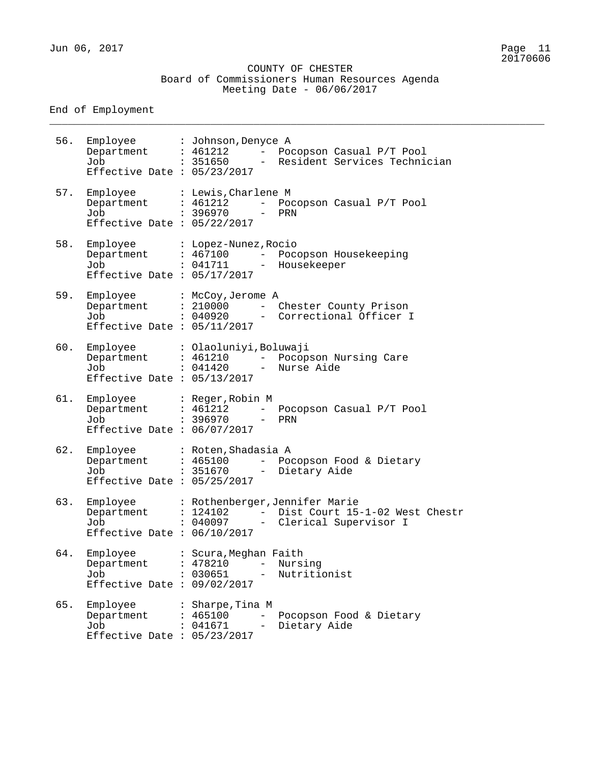\_\_\_\_\_\_\_\_\_\_\_\_\_\_\_\_\_\_\_\_\_\_\_\_\_\_\_\_\_\_\_\_\_\_\_\_\_\_\_\_\_\_\_\_\_\_\_\_\_\_\_\_\_\_\_\_\_\_\_\_\_\_\_\_\_\_\_\_\_\_\_\_\_\_\_\_\_\_\_\_

#### End of Employment

56. Employee : Johnson,Denyce A Department : 461212 - Pocopson Casual P/T Pool Job : 351650 - Resident Services Technician Effective Date : 05/23/2017 57. Employee : Lewis,Charlene M Department : 461212 - Pocopson Casual P/T Pool Job : 396970 - PRN Effective Date : 05/22/2017 58. Employee : Lopez-Nunez,Rocio Department : 467100 - Pocopson Housekeeping Job : 041711 - Housekeeper Effective Date : 05/17/2017 59. Employee : McCoy,Jerome A Department : 210000 - Chester County Prison Job : 040920 - Correctional Officer I Effective Date : 05/11/2017 60. Employee : Olaoluniyi,Boluwaji Department : 461210 - Pocopson Nursing Care Job : 041420 - Nurse Aide Effective Date : 05/13/2017 61. Employee : Reger,Robin M Department : 461212 - Pocopson Casual P/T Pool Job : 396970 - PRN Effective Date : 06/07/2017 62. Employee : Roten,Shadasia A Department : 465100 - Pocopson Food & Dietary Job : 351670 - Dietary Aide Effective Date : 05/25/2017 63. Employee : Rothenberger,Jennifer Marie Department : 124102 - Dist Court 15-1-02 West Chestr Job : 040097 - Clerical Supervisor I Effective Date : 06/10/2017 64. Employee : Scura,Meghan Faith Department : 478210 - Nursing Job : 030651 - Nutritionist Effective Date : 09/02/2017 65. Employee : Sharpe,Tina M Department : 465100 - Pocopson Food & Dietary Job : 041671 - Dietary Aide Effective Date : 05/23/2017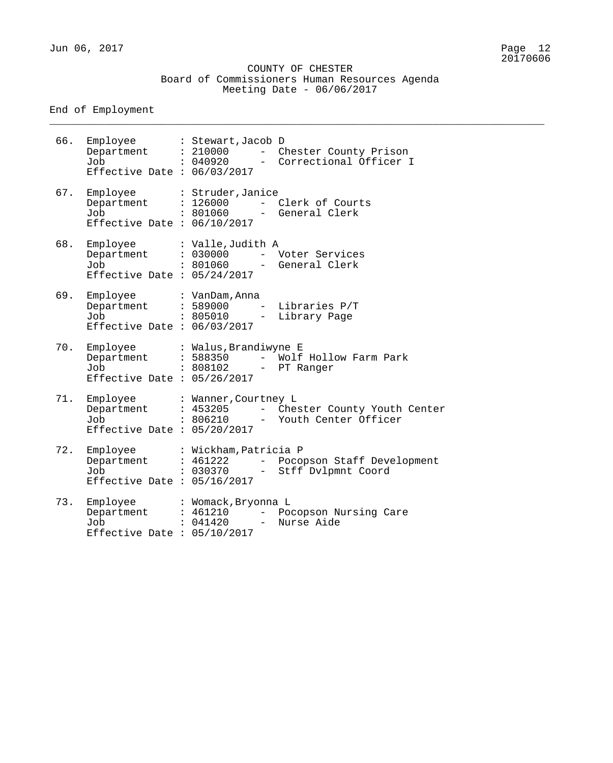Jun 06, 2017 Page 12

\_\_\_\_\_\_\_\_\_\_\_\_\_\_\_\_\_\_\_\_\_\_\_\_\_\_\_\_\_\_\_\_\_\_\_\_\_\_\_\_\_\_\_\_\_\_\_\_\_\_\_\_\_\_\_\_\_\_\_\_\_\_\_\_\_\_\_\_\_\_\_\_\_\_\_\_\_\_\_\_

End of Employment

66. Employee : Stewart,Jacob D Department : 210000 - Chester County Prison Job : 040920 - Correctional Officer I Effective Date : 06/03/2017 67. Employee : Struder,Janice Department : 126000 - Clerk of Courts Job : 801060 - General Clerk Effective Date : 06/10/2017 68. Employee : Valle,Judith A Department : 030000 - Voter Services Job : 801060 - General Clerk Effective Date : 05/24/2017 69. Employee : VanDam,Anna Department : 589000 - Libraries P/T Job : 805010 - Library Page Effective Date : 06/03/2017 70. Employee : Walus,Brandiwyne E Department : 588350 - Wolf Hollow Farm Park Job : 808102 - PT Ranger Effective Date : 05/26/2017 71. Employee : Wanner,Courtney L Department : 453205 - Chester County Youth Center Job : 806210 - Youth Center Officer Effective Date : 05/20/2017 72. Employee : Wickham,Patricia P Department : 461222 – Pocopson Staff Development Job : 030370 - Stff Dvlpmnt Coord Effective Date : 05/16/2017 73. Employee : Womack, Bryonna L<br>Department : 461210 - Poo Department : 461210 - Pocopson Nursing Care Job : 041420 - Nurse Aide

Effective Date : 05/10/2017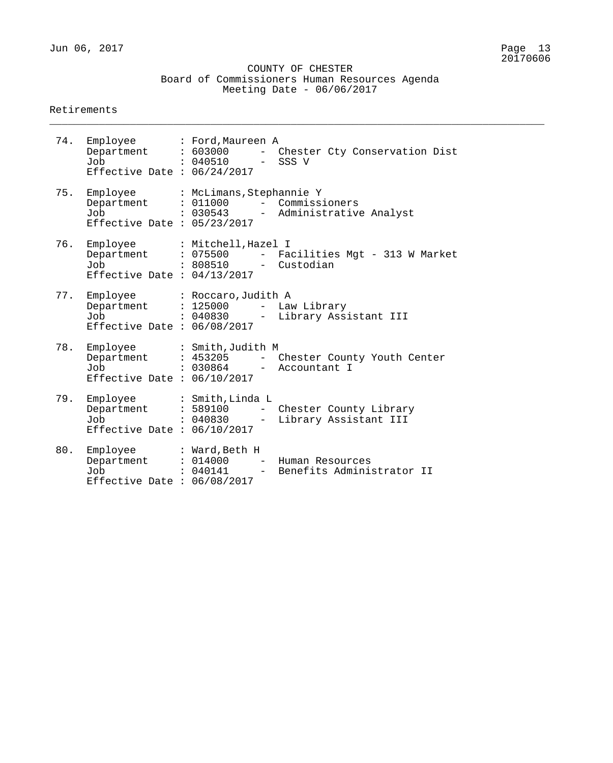\_\_\_\_\_\_\_\_\_\_\_\_\_\_\_\_\_\_\_\_\_\_\_\_\_\_\_\_\_\_\_\_\_\_\_\_\_\_\_\_\_\_\_\_\_\_\_\_\_\_\_\_\_\_\_\_\_\_\_\_\_\_\_\_\_\_\_\_\_\_\_\_\_\_\_\_\_\_\_\_

#### Retirements

| 74. | Employee : Ford, Maureen A<br>Department : 603000<br>Job<br>Effective Date : $06/24/2017$   | : 040510<br>$\overline{\phantom{m}}$                |      | - Chester Cty Conservation Dist<br>SSS V        |
|-----|---------------------------------------------------------------------------------------------|-----------------------------------------------------|------|-------------------------------------------------|
| 75. | Employee<br>Department<br>Job<br>Effective Date : $05/23/2017$                              | : McLimans, Stephannie Y<br>: 011000<br>: 030543    |      | - Commissioners<br>- Administrative Analyst     |
| 76. | Employee : Mitchell, Hazel I<br>Department : 075500<br>Job<br>Effective Date : $04/13/2017$ | : 808510                                            |      | - Facilities Mgt - 313 W Market<br>- Custodian  |
| 77. | Employee<br>Department<br>Job<br>Effective Date : $06/08/2017$                              | : Roccaro, Judith A<br>: 125000                     | $ -$ | Law Library<br>: 040830 - Library Assistant III |
| 78. | Employee<br>Department : 453205<br>Job<br>Effective Date : $06/10/2017$                     | : Smith, Judith M<br>$\qquad \qquad -$<br>: 030864  |      | Chester County Youth Center<br>- Accountant I   |
| 79. | Employee<br>Department : 589100<br>Job<br>Effective Date : $06/10/2017$                     | : Smith, Linda L<br>$: 040830 -$                    | $ -$ | Chester County Library<br>Library Assistant III |
| 80. | Employee<br>Department<br>Job<br>Effective Date : $06/08/2017$                              | : Ward,Beth H<br>: 014000<br>: 040141<br>$\sim$ $-$ |      | Human Resources<br>Benefits Administrator II    |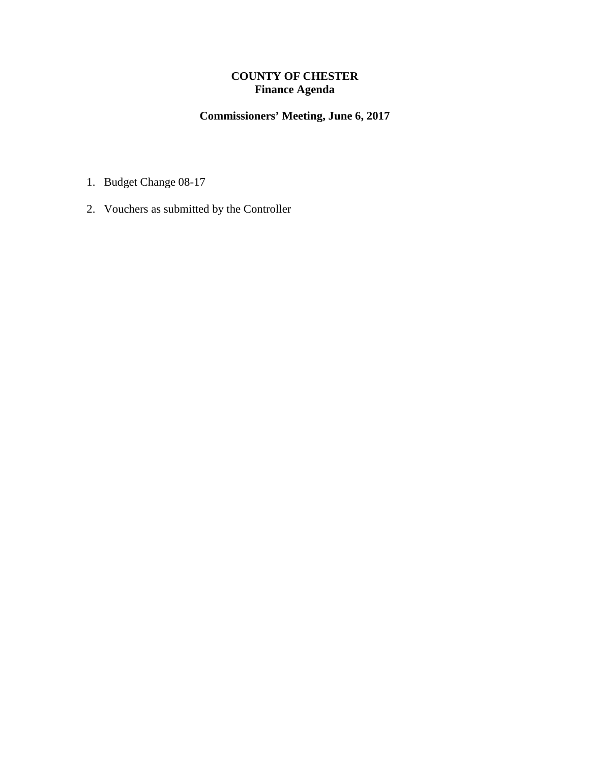# **COUNTY OF CHESTER Finance Agenda**

# **Commissioners' Meeting, June 6, 2017**

- 1. Budget Change 08-17
- 2. Vouchers as submitted by the Controller